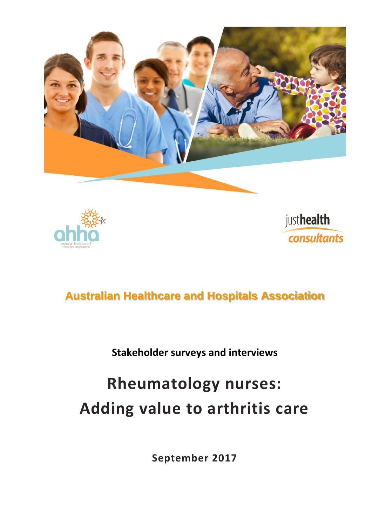





### **Australian Healthcare and Hospitals Association**

### **Stakeholder surveys and interviews**

# **Rheumatology nurses: Adding value to arthritis care**

**September 2017**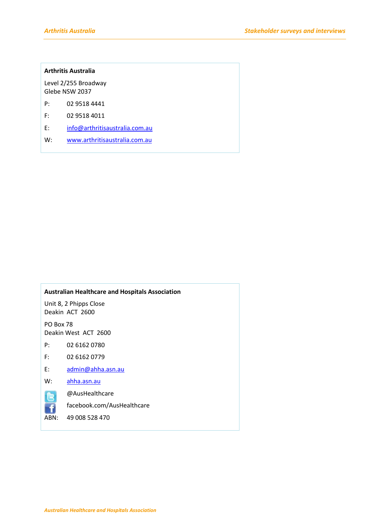#### **Arthritis Australia**

Level 2/255 Broadway Glebe NSW 2037

- P: 02 9518 4441
- F: 02 9518 4011
- E: [info@arthritisaustralia.com.au](mailto:info@arthritisaustralia.com.au)
- W: [www.arthritisaustralia.com.au](http://www.arthritisaustralia.com.au/)

#### **Australian Healthcare and Hospitals Association**

Unit 8, 2 Phipps Close Deakin ACT 2600

PO Box 78 Deakin West ACT 2600

P: 02 6162 0780

- F: 02 6162 0779
- E: [admin@ahha.asn.au](mailto:admin@ahha.asn.au)
- W: [ahha.asn.au](http://www.ahha.asn.au/)

-f

@AusHealthcare

facebook.com/AusHealthcare

ABN: 49 008 528 470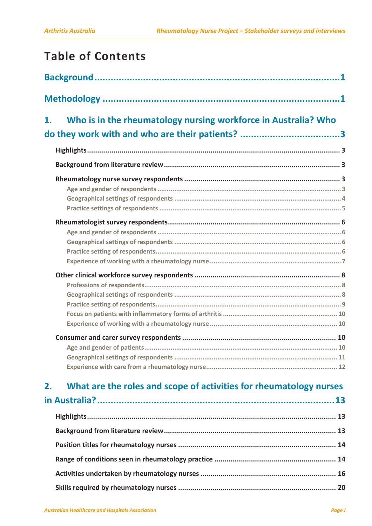## **Table of Contents**

| 1. | Who is in the rheumatology nursing workforce in Australia? Who     |  |
|----|--------------------------------------------------------------------|--|
|    | do they work with and who are their patients? 3                    |  |
|    |                                                                    |  |
|    |                                                                    |  |
|    |                                                                    |  |
|    |                                                                    |  |
|    |                                                                    |  |
|    |                                                                    |  |
| 2. | What are the roles and scope of activities for rheumatology nurses |  |
|    |                                                                    |  |
|    |                                                                    |  |
|    |                                                                    |  |
|    |                                                                    |  |
|    |                                                                    |  |
|    |                                                                    |  |
|    |                                                                    |  |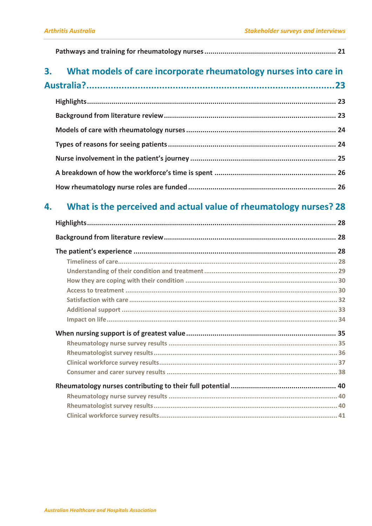|--|--|

#### What models of care incorporate rheumatology nurses into care in  $3.$

|--|--|

#### What is the perceived and actual value of rheumatology nurses? 28 4.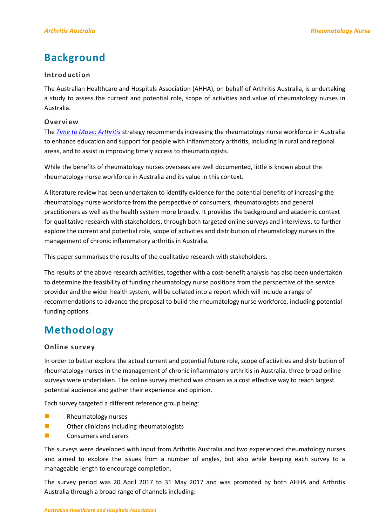### <span id="page-4-0"></span>**Background**

#### **Introduction**

The Australian Healthcare and Hospitals Association (AHHA), on behalf of Arthritis Australia, is undertaking a study to assess the current and potential role, scope of activities and value of rheumatology nurses in Australia.

#### **Overview**

The *[Time to Move: Arthritis](http://www.arthritisaustralia.com.au/index.php/reports/time-to-move-arthritis-reports.html)* strategy recommends increasing the rheumatology nurse workforce in Australia to enhance education and support for people with inflammatory arthritis, including in rural and regional areas, and to assist in improving timely access to rheumatologists.

While the benefits of rheumatology nurses overseas are well documented, little is known about the rheumatology nurse workforce in Australia and its value in this context.

A literature review has been undertaken to identify evidence for the potential benefits of increasing the rheumatology nurse workforce from the perspective of consumers, rheumatologists and general practitioners as well as the health system more broadly. It provides the background and academic context for qualitative research with stakeholders, through both targeted online surveys and interviews, to further explore the current and potential role, scope of activities and distribution of rheumatology nurses in the management of chronic inflammatory arthritis in Australia.

This paper summarises the results of the qualitative research with stakeholders.

The results of the above research activities, together with a cost-benefit analysis has also been undertaken to determine the feasibility of funding rheumatology nurse positions from the perspective of the service provider and the wider health system, will be collated into a report which will include a range of recommendations to advance the proposal to build the rheumatology nurse workforce, including potential funding options.

### <span id="page-4-1"></span>**Methodology**

#### **Online survey**

In order to better explore the actual current and potential future role, scope of activities and distribution of rheumatology nurses in the management of chronic inflammatory arthritis in Australia, three broad online surveys were undertaken. The online survey method was chosen as a cost effective way to reach largest potential audience and gather their experience and opinion.

Each survey targeted a different reference group being:

- **Rheumatology nurses**
- **DECORTER CORTER CORRECTED C** Other clinicians including rheumatologists
- **Exercise Consumers and carers**

The surveys were developed with input from Arthritis Australia and two experienced rheumatology nurses and aimed to explore the issues from a number of angles, but also while keeping each survey to a manageable length to encourage completion.

The survey period was 20 April 2017 to 31 May 2017 and was promoted by both AHHA and Arthritis Australia through a broad range of channels including: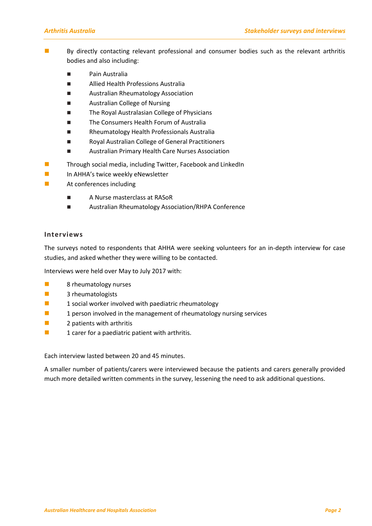- By directly contacting relevant professional and consumer bodies such as the relevant arthritis bodies and also including:
	- Pain Australia
	- Allied Health Professions Australia
	- **Australian Rheumatology Association**
	- **E** Australian College of Nursing
	- The Royal Australasian College of Physicians
	- **The Consumers Health Forum of Australia**
	- Rheumatology Health Professionals Australia
	- Royal Australian College of General Practitioners
	- **E** Australian Primary Health Care Nurses Association
- **Through social media, including Twitter, Facebook and LinkedIn**
- **In AHHA's twice weekly eNewsletter**
- **At conferences including** 
	- A Nurse masterclass at RASoR
	- Australian Rheumatology Association/RHPA Conference

#### **Interviews**

The surveys noted to respondents that AHHA were seeking volunteers for an in-depth interview for case studies, and asked whether they were willing to be contacted.

Interviews were held over May to July 2017 with:

- **8** rheumatology nurses
- **3** rheumatologists
- **1** social worker involved with paediatric rheumatology
- $\blacksquare$  1 person involved in the management of rheumatology nursing services
- **2** patients with arthritis
- $\blacksquare$  1 carer for a paediatric patient with arthritis.

Each interview lasted between 20 and 45 minutes.

A smaller number of patients/carers were interviewed because the patients and carers generally provided much more detailed written comments in the survey, lessening the need to ask additional questions.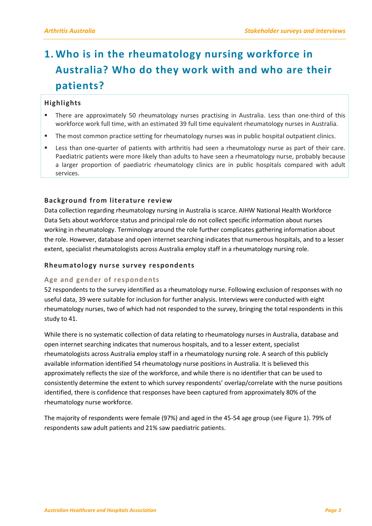## <span id="page-6-0"></span>**1. Who is in the rheumatology nursing workforce in Australia? Who do they work with and who are their patients?**

#### <span id="page-6-1"></span>**Highlights**

- There are approximately 50 rheumatology nurses practising in Australia. Less than one-third of this workforce work full time, with an estimated 39 full time equivalent rheumatology nurses in Australia.
- **The most common practice setting for rheumatology nurses was in public hospital outpatient clinics.**
- Less than one-quarter of patients with arthritis had seen a rheumatology nurse as part of their care. Paediatric patients were more likely than adults to have seen a rheumatology nurse, probably because a larger proportion of paediatric rheumatology clinics are in public hospitals compared with adult services.

#### <span id="page-6-2"></span>**Background from literature review**

Data collection regarding rheumatology nursing in Australia is scarce. AIHW National Health Workforce Data Sets about workforce status and principal role do not collect specific information about nurses working in rheumatology. Terminology around the role further complicates gathering information about the role. However, database and open internet searching indicates that numerous hospitals, and to a lesser extent, specialist rheumatologists across Australia employ staff in a rheumatology nursing role.

#### <span id="page-6-3"></span>**Rheumatology nurse survey respondents**

#### <span id="page-6-4"></span>**Age and gender of respondents**

52 respondents to the survey identified as a rheumatology nurse. Following exclusion of responses with no useful data, 39 were suitable for inclusion for further analysis. Interviews were conducted with eight rheumatology nurses, two of which had not responded to the survey, bringing the total respondents in this study to 41.

While there is no systematic collection of data relating to rheumatology nurses in Australia, database and open internet searching indicates that numerous hospitals, and to a lesser extent, specialist rheumatologists across Australia employ staff in a rheumatology nursing role. A search of this publicly available information identified 54 rheumatology nurse positions in Australia. It is believed this approximately reflects the size of the workforce, and while there is no identifier that can be used to consistently determine the extent to which survey respondents' overlap/correlate with the nurse positions identified, there is confidence that responses have been captured from approximately 80% of the rheumatology nurse workforce.

The majority of respondents were female (97%) and aged in the 45-54 age group (see Figure 1). 79% of respondents saw adult patients and 21% saw paediatric patients.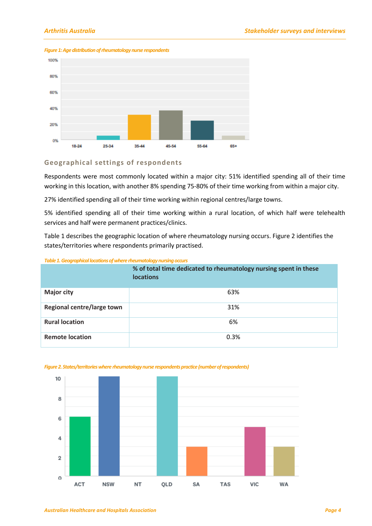

#### *Figure 1: Age distribution of rheumatology nurse respondents*

#### <span id="page-7-0"></span>**Geographical settings of respondents**

Respondents were most commonly located within a major city: 51% identified spending all of their time working in this location, with another 8% spending 75-80% of their time working from within a major city.

27% identified spending all of their time working within regional centres/large towns.

5% identified spending all of their time working within a rural location, of which half were telehealth services and half were permanent practices/clinics.

Table 1 describes the geographic location of where rheumatology nursing occurs. Figure 2 identifies the states/territories where respondents primarily practised.

#### *Table 1.Geographical locations of where rheumatology nursing occurs*

|                            | % of total time dedicated to rheumatology nursing spent in these<br><b>locations</b> |
|----------------------------|--------------------------------------------------------------------------------------|
| <b>Major city</b>          | 63%                                                                                  |
| Regional centre/large town | 31%                                                                                  |
| <b>Rural location</b>      | 6%                                                                                   |
| <b>Remote location</b>     | 0.3%                                                                                 |



#### *Figure 2. States/territories where rheumatology nurse respondents practice(number of respondents)*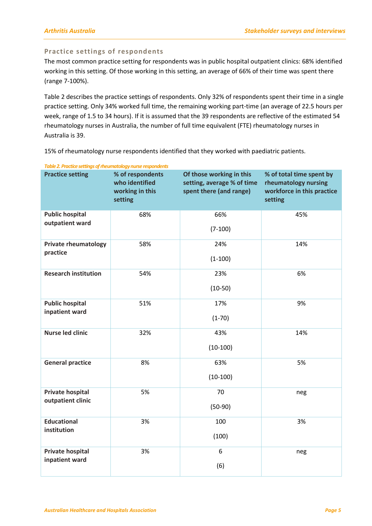#### <span id="page-8-0"></span>**Practice settings of respondents**

The most common practice setting for respondents was in public hospital outpatient clinics: 68% identified working in this setting. Of those working in this setting, an average of 66% of their time was spent there (range 7-100%).

Table 2 describes the practice settings of respondents. Only 32% of respondents spent their time in a single practice setting. Only 34% worked full time, the remaining working part-time (an average of 22.5 hours per week, range of 1.5 to 34 hours). If it is assumed that the 39 respondents are reflective of the estimated 54 rheumatology nurses in Australia, the number of full time equivalent (FTE) rheumatology nurses in Australia is 39.

*Table 2. Practice settings of rheumatology nurse respondents*  **Practice setting % of respondents who identified working in this setting Of those working in this setting, average % of time spent there (and range) % of total time spent by rheumatology nursing workforce in this practice setting Public hospital outpatient ward** 68% 66% (7-100) 45% **Private rheumatology practice** 58% 24% (1-100) 14% **Research institution** 54% 23% (10-50) 6% **Public hospital inpatient ward** 51% 17% (1-70) 9% **Nurse led clinic** 1 32% 43% (10-100) 14% General practice **8%** 63% (10-100) 5% **Private hospital outpatient clinic** 5% 70 (50-90) neg **Educational institution** 3% 100 (100) 3% **Private hospital inpatient ward** 3% 6 (6) neg

15% of rheumatology nurse respondents identified that they worked with paediatric patients.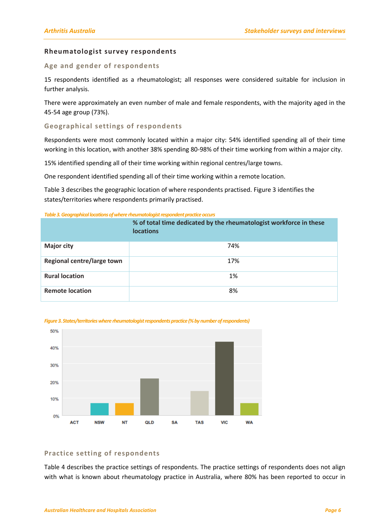#### <span id="page-9-0"></span>**Rheumatologist survey respondents**

#### <span id="page-9-1"></span>**Age and gender of respondents**

15 respondents identified as a rheumatologist; all responses were considered suitable for inclusion in further analysis.

There were approximately an even number of male and female respondents, with the majority aged in the 45-54 age group (73%).

#### <span id="page-9-2"></span>**Geographical settings of respondents**

Respondents were most commonly located within a major city: 54% identified spending all of their time working in this location, with another 38% spending 80-98% of their time working from within a major city.

15% identified spending all of their time working within regional centres/large towns.

One respondent identified spending all of their time working within a remote location.

Table 3 describes the geographic location of where respondents practised. Figure 3 identifies the states/territories where respondents primarily practised.

#### **Table 3. Geographical locations of where rheumatologist respondent practice occurs**

|                            | % of total time dedicated by the rheumatologist workforce in these<br><b>locations</b> |
|----------------------------|----------------------------------------------------------------------------------------|
| <b>Major city</b>          | 74%                                                                                    |
| Regional centre/large town | 17%                                                                                    |
| <b>Rural location</b>      | 1%                                                                                     |
| <b>Remote location</b>     | 8%                                                                                     |





#### <span id="page-9-3"></span>**Practice setting of respondents**

Table 4 describes the practice settings of respondents. The practice settings of respondents does not align with what is known about rheumatology practice in Australia, where 80% has been reported to occur in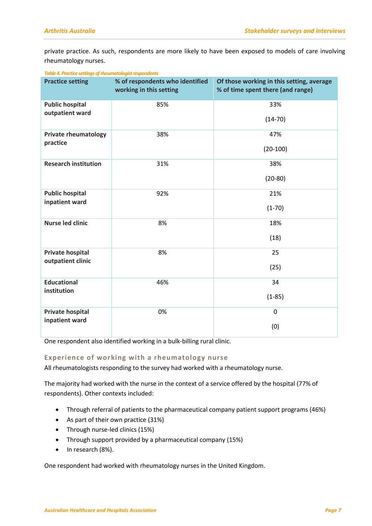private practice. As such, respondents are more likely to have been exposed to models of care involving rheumatology nurses.

| <b>Practice setting</b>     | % of respondents who identified<br>working in this setting | Of those working in this setting, average<br>% of time spent there (and range) |
|-----------------------------|------------------------------------------------------------|--------------------------------------------------------------------------------|
| <b>Public hospital</b>      | 85%                                                        | 33%                                                                            |
| outpatient ward             |                                                            | $(14-70)$                                                                      |
| <b>Private rheumatology</b> | 38%                                                        | 47%                                                                            |
| practice                    |                                                            | $(20-100)$                                                                     |
| <b>Research institution</b> | 31%                                                        | 38%                                                                            |
|                             |                                                            | $(20-80)$                                                                      |
| <b>Public hospital</b>      | 92%                                                        | 21%                                                                            |
| inpatient ward              |                                                            | $(1-70)$                                                                       |
| <b>Nurse led clinic</b>     | 8%                                                         | 18%                                                                            |
|                             |                                                            | (18)                                                                           |
| <b>Private hospital</b>     | 8%                                                         | 25                                                                             |
| outpatient clinic           |                                                            | (25)                                                                           |
| <b>Educational</b>          | 46%                                                        | 34                                                                             |
| institution                 |                                                            | $(1-85)$                                                                       |
| <b>Private hospital</b>     | 0%                                                         | $\mathbf 0$                                                                    |
| inpatient ward              |                                                            | (0)                                                                            |

#### *Table 4. Practice settings of rheumatologistrespondents*

One respondent also identified working in a bulk-billing rural clinic.

#### <span id="page-10-0"></span>**Experience of working with a rheumatology nurse**

All rheumatologists responding to the survey had worked with a rheumatology nurse.

The majority had worked with the nurse in the context of a service offered by the hospital (77% of respondents). Other contexts included:

- Through referral of patients to the pharmaceutical company patient support programs (46%)
- As part of their own practice (31%)
- Through nurse-led clinics (15%)
- Through support provided by a pharmaceutical company (15%)
- $\bullet$  In research (8%).

One respondent had worked with rheumatology nurses in the United Kingdom.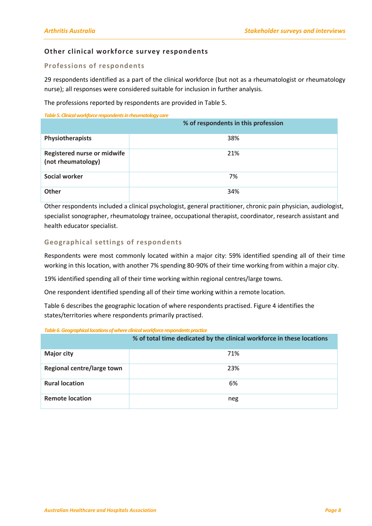#### <span id="page-11-0"></span>**Other clinical workforce survey respondents**

#### <span id="page-11-1"></span>**Professions of respondents**

29 respondents identified as a part of the clinical workforce (but not as a rheumatologist or rheumatology nurse); all responses were considered suitable for inclusion in further analysis.

The professions reported by respondents are provided in Table 5.

*Table 5. Clinical workforcerespondentsin rheumatology care*

|                                                          | % of respondents in this profession |
|----------------------------------------------------------|-------------------------------------|
| Physiotherapists                                         | 38%                                 |
| <b>Registered nurse or midwife</b><br>(not rheumatology) | 21%                                 |
| <b>Social worker</b>                                     | 7%                                  |
| Other                                                    | 34%                                 |

Other respondents included a clinical psychologist, general practitioner, chronic pain physician, audiologist, specialist sonographer, rheumatology trainee, occupational therapist, coordinator, research assistant and health educator specialist.

#### <span id="page-11-2"></span>**Geographical settings of respondents**

Respondents were most commonly located within a major city: 59% identified spending all of their time working in this location, with another 7% spending 80-90% of their time working from within a major city.

19% identified spending all of their time working within regional centres/large towns.

One respondent identified spending all of their time working within a remote location.

Table 6 describes the geographic location of where respondents practised. Figure 4 identifies the states/territories where respondents primarily practised.

#### *Table 6. Geographical locations of where clinical workforce respondents practice*

|                            | % of total time dedicated by the clinical workforce in these locations |  |  |
|----------------------------|------------------------------------------------------------------------|--|--|
| <b>Major city</b>          | 71%                                                                    |  |  |
| Regional centre/large town | 23%                                                                    |  |  |
| <b>Rural location</b>      | 6%                                                                     |  |  |
| <b>Remote location</b>     | neg                                                                    |  |  |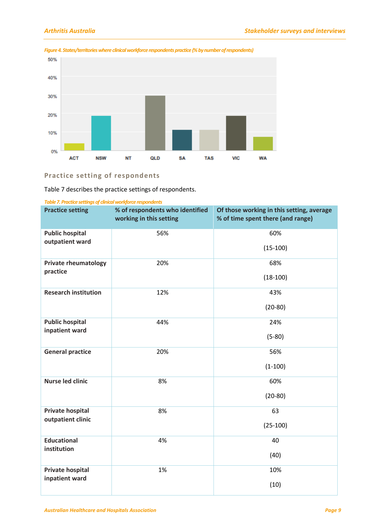

#### *Figure 4. States/territories where clinical workforce respondents practice (% by number of respondents)*

### <span id="page-12-0"></span>**Practice setting of respondents**

Table 7 describes the practice settings of respondents.

| Table 7. Practice settings of clinical workforce respondents |
|--------------------------------------------------------------|
|                                                              |

| <b>Practice setting</b>     | % of respondents who identified<br>working in this setting | Of those working in this setting, average<br>% of time spent there (and range) |
|-----------------------------|------------------------------------------------------------|--------------------------------------------------------------------------------|
| <b>Public hospital</b>      | 56%                                                        | 60%                                                                            |
| outpatient ward             |                                                            | $(15-100)$                                                                     |
| <b>Private rheumatology</b> | 20%                                                        | 68%                                                                            |
| practice                    |                                                            | $(18-100)$                                                                     |
| <b>Research institution</b> | 12%                                                        | 43%                                                                            |
|                             |                                                            | $(20-80)$                                                                      |
| <b>Public hospital</b>      | 44%                                                        | 24%                                                                            |
| inpatient ward              |                                                            | $(5-80)$                                                                       |
| <b>General practice</b>     | 20%                                                        | 56%                                                                            |
|                             |                                                            | $(1-100)$                                                                      |
| <b>Nurse led clinic</b>     | 8%                                                         | 60%                                                                            |
|                             |                                                            | $(20-80)$                                                                      |
| <b>Private hospital</b>     | 8%                                                         | 63                                                                             |
| outpatient clinic           |                                                            | $(25-100)$                                                                     |
| <b>Educational</b>          | 4%                                                         | 40                                                                             |
| institution                 |                                                            | (40)                                                                           |
| <b>Private hospital</b>     | 1%                                                         | 10%                                                                            |
| inpatient ward              |                                                            | (10)                                                                           |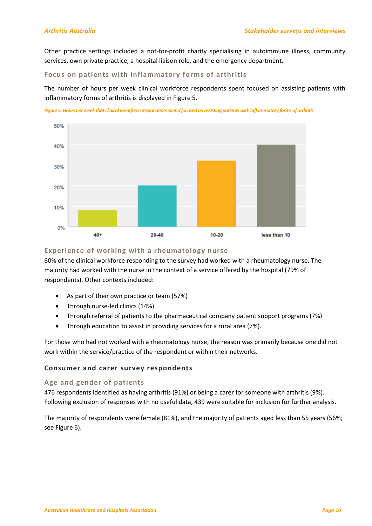Other practice settings included a not-for-profit charity specialising in autoimmune illness, community services, own private practice, a hospital liaison role, and the emergency department.

#### <span id="page-13-0"></span>**Focus on patients with inflammatory forms of arthritis**

The number of hours per week clinical workforce respondents spent focused on assisting patients with inflammatory forms of arthritis is displayed in Figure 5.

*Figure5. Hours per week that clinical workforce respondents spend focused on assisting patients with inflammatory forms of arthritis*



#### <span id="page-13-1"></span>**Experience of working with a rheumatology nurse**

60% of the clinical workforce responding to the survey had worked with a rheumatology nurse. The majority had worked with the nurse in the context of a service offered by the hospital (79% of respondents). Other contexts included:

- As part of their own practice or team (57%)
- Through nurse-led clinics (14%)
- Through referral of patients to the pharmaceutical company patient support programs (7%)
- Through education to assist in providing services for a rural area (7%).

For those who had not worked with a rheumatology nurse, the reason was primarily because one did not work within the service/practice of the respondent or within their networks.

#### <span id="page-13-2"></span>**Consumer and carer survey respondents**

#### <span id="page-13-3"></span>**Age and gender of patients**

476 respondents identified as having arthritis (91%) or being a carer for someone with arthritis (9%). Following exclusion of responses with no useful data, 439 were suitable for inclusion for further analysis.

The majority of respondents were female (81%), and the majority of patients aged less than 55 years (56%; see Figure 6).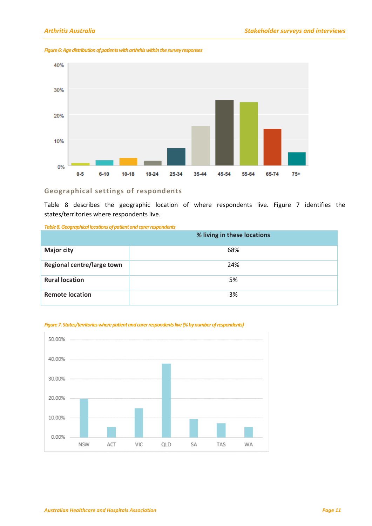

#### *Figure 6: Age distribution of patients with arthritis within the survey responses*

#### <span id="page-14-0"></span>**Geographical settings of respondents**

Table 8 describes the geographic location of where respondents live. Figure 7 identifies the states/territories where respondents live.

*Table 8. Geographical locations of patient and carer respondents*

|                            | % living in these locations |
|----------------------------|-----------------------------|
| <b>Major city</b>          | 68%                         |
| Regional centre/large town | 24%                         |
| <b>Rural location</b>      | 5%                          |
| <b>Remote location</b>     | 3%                          |



#### *Figure 7. States/territories where patient and carerrespondents live(% by number of respondents)*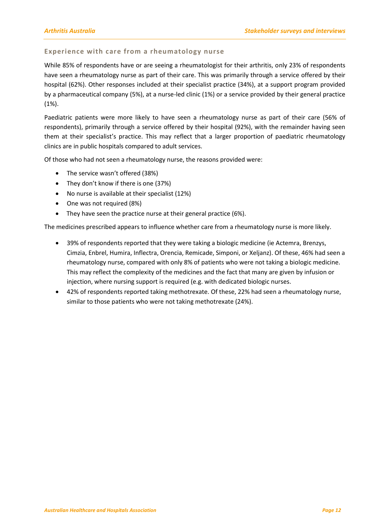#### <span id="page-15-0"></span>**Experience with care from a rheumatology nurse**

While 85% of respondents have or are seeing a rheumatologist for their arthritis, only 23% of respondents have seen a rheumatology nurse as part of their care. This was primarily through a service offered by their hospital (62%). Other responses included at their specialist practice (34%), at a support program provided by a pharmaceutical company (5%), at a nurse-led clinic (1%) or a service provided by their general practice (1%).

Paediatric patients were more likely to have seen a rheumatology nurse as part of their care (56% of respondents), primarily through a service offered by their hospital (92%), with the remainder having seen them at their specialist's practice. This may reflect that a larger proportion of paediatric rheumatology clinics are in public hospitals compared to adult services.

Of those who had not seen a rheumatology nurse, the reasons provided were:

- The service wasn't offered (38%)
- They don't know if there is one (37%)
- No nurse is available at their specialist (12%)
- One was not required (8%)
- They have seen the practice nurse at their general practice (6%).

The medicines prescribed appears to influence whether care from a rheumatology nurse is more likely.

- 39% of respondents reported that they were taking a biologic medicine (ie Actemra, Brenzys, Cimzia, Enbrel, Humira, Inflectra, Orencia, Remicade, Simponi, or Xeljanz). Of these, 46% had seen a rheumatology nurse, compared with only 8% of patients who were not taking a biologic medicine. This may reflect the complexity of the medicines and the fact that many are given by infusion or injection, where nursing support is required (e.g. with dedicated biologic nurses.
- 42% of respondents reported taking methotrexate. Of these, 22% had seen a rheumatology nurse, similar to those patients who were not taking methotrexate (24%).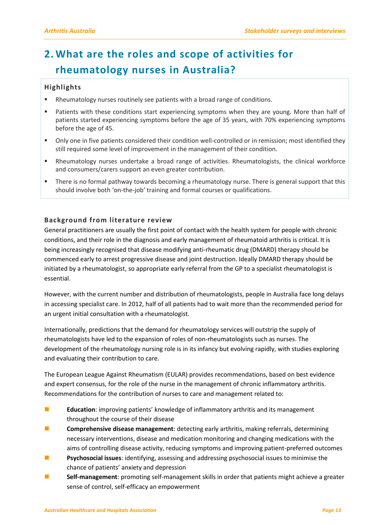### <span id="page-16-0"></span>**2. What are the roles and scope of activities for rheumatology nurses in Australia?**

#### <span id="page-16-1"></span>**Highlights**

- Rheumatology nurses routinely see patients with a broad range of conditions.
- Patients with these conditions start experiencing symptoms when they are young. More than half of patients started experiencing symptoms before the age of 35 years, with 70% experiencing symptoms before the age of 45.
- Only one in five patients considered their condition well-controlled or in remission; most identified they still required some level of improvement in the management of their condition.
- Rheumatology nurses undertake a broad range of activities. Rheumatologists, the clinical workforce and consumers/carers support an even greater contribution.
- There is no formal pathway towards becoming a rheumatology nurse. There is general support that this should involve both 'on-the-job' training and formal courses or qualifications.

#### <span id="page-16-2"></span>**Background from literature review**

General practitioners are usually the first point of contact with the health system for people with chronic conditions, and their role in the diagnosis and early management of rheumatoid arthritis is critical. It is being increasingly recognised that disease modifying anti-rheumatic drug (DMARD) therapy should be commenced early to arrest progressive disease and joint destruction. Ideally DMARD therapy should be initiated by a rheumatologist, so appropriate early referral from the GP to a specialist rheumatologist is essential.

However, with the current number and distribution of rheumatologists, people in Australia face long delays in accessing specialist care. In 2012, half of all patients had to wait more than the recommended period for an urgent initial consultation with a rheumatologist.

Internationally, predictions that the demand for rheumatology services will outstrip the supply of rheumatologists have led to the expansion of roles of non-rheumatologists such as nurses. The development of the rheumatology nursing role is in its infancy but evolving rapidly, with studies exploring and evaluating their contribution to care.

The European League Against Rheumatism (EULAR) provides recommendations, based on best evidence and expert consensus, for the role of the nurse in the management of chronic inflammatory arthritis. Recommendations for the contribution of nurses to care and management related to:

- **E** Education: improving patients' knowledge of inflammatory arthritis and its management throughout the course of their disease
- **Comprehensive disease management**: detecting early arthritis, making referrals, determining necessary interventions, disease and medication monitoring and changing medications with the aims of controlling disease activity, reducing symptoms and improving patient-preferred outcomes
- **Psychosocial issues**: identifying, assessing and addressing psychosocial issues to minimise the chance of patients' anxiety and depression
- **Self-management**: promoting self-management skills in order that patients might achieve a greater sense of control, self-efficacy an empowerment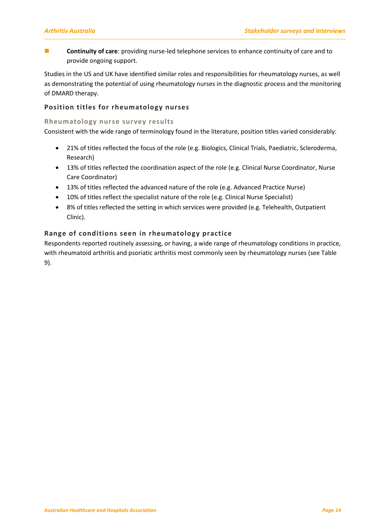**Continuity of care**: providing nurse-led telephone services to enhance continuity of care and to provide ongoing support.

Studies in the US and UK have identified similar roles and responsibilities for rheumatology nurses, as well as demonstrating the potential of using rheumatology nurses in the diagnostic process and the monitoring of DMARD therapy.

#### <span id="page-17-0"></span>**Position titles for rheumatology nurses**

#### **Rheumatology nurse survey results**

Consistent with the wide range of terminology found in the literature, position titles varied considerably:

- 21% of titles reflected the focus of the role (e.g. Biologics, Clinical Trials, Paediatric, Scleroderma, Research)
- 13% of titles reflected the coordination aspect of the role (e.g. Clinical Nurse Coordinator, Nurse Care Coordinator)
- 13% of titles reflected the advanced nature of the role (e.g. Advanced Practice Nurse)
- 10% of titles reflect the specialist nature of the role (e.g. Clinical Nurse Specialist)
- 8% of titles reflected the setting in which services were provided (e.g. Telehealth, Outpatient Clinic).

#### <span id="page-17-1"></span>**Range of conditions seen in rheumatology practice**

Respondents reported routinely assessing, or having, a wide range of rheumatology conditions in practice, with rheumatoid arthritis and psoriatic arthritis most commonly seen by rheumatology nurses (see Table 9).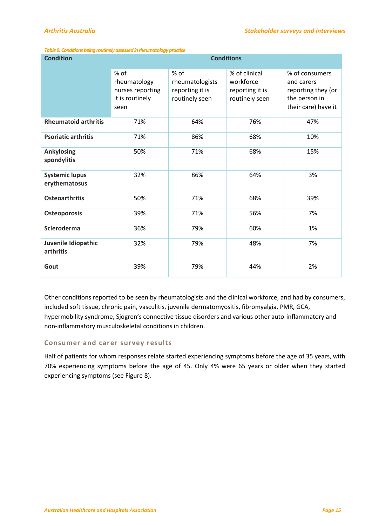| <b>Condition</b>                       | <b>Conditions</b>                                                   |                                                              |                                                                 |                                                                                            |  |  |
|----------------------------------------|---------------------------------------------------------------------|--------------------------------------------------------------|-----------------------------------------------------------------|--------------------------------------------------------------------------------------------|--|--|
|                                        | % of<br>rheumatology<br>nurses reporting<br>it is routinely<br>seen | % of<br>rheumatologists<br>reporting it is<br>routinely seen | % of clinical<br>workforce<br>reporting it is<br>routinely seen | % of consumers<br>and carers<br>reporting they (or<br>the person in<br>their care) have it |  |  |
| <b>Rheumatoid arthritis</b>            | 71%                                                                 | 64%                                                          | 76%                                                             | 47%                                                                                        |  |  |
| <b>Psoriatic arthritis</b>             | 71%                                                                 | 86%                                                          | 68%                                                             | 10%                                                                                        |  |  |
| <b>Ankylosing</b><br>spondylitis       | 50%                                                                 | 71%                                                          | 68%                                                             | 15%                                                                                        |  |  |
| <b>Systemic lupus</b><br>erythematosus | 32%                                                                 | 86%                                                          | 64%                                                             | 3%                                                                                         |  |  |
| <b>Osteoarthritis</b>                  | 50%                                                                 | 71%                                                          | 68%                                                             | 39%                                                                                        |  |  |
| <b>Osteoporosis</b>                    | 39%                                                                 | 71%                                                          | 56%                                                             | 7%                                                                                         |  |  |
| Scleroderma                            | 36%                                                                 | 79%                                                          | 60%                                                             | 1%                                                                                         |  |  |
| Juvenile Idiopathic<br>arthritis       | 32%                                                                 | 79%                                                          | 48%                                                             | 7%                                                                                         |  |  |
| Gout                                   | 39%                                                                 | 79%                                                          | 44%                                                             | 2%                                                                                         |  |  |

#### *Table 9. Conditions being routinely assessed in rheumatology practice*

Other conditions reported to be seen by rheumatologists and the clinical workforce, and had by consumers, included soft tissue, chronic pain, vasculitis, juvenile dermatomyositis, fibromyalgia, PMR, GCA, hypermobility syndrome, Sjogren's connective tissue disorders and various other auto-inflammatory and non-inflammatory musculoskeletal conditions in children.

#### **Consumer and carer survey results**

Half of patients for whom responses relate started experiencing symptoms before the age of 35 years, with 70% experiencing symptoms before the age of 45. Only 4% were 65 years or older when they started experiencing symptoms (see Figure 8).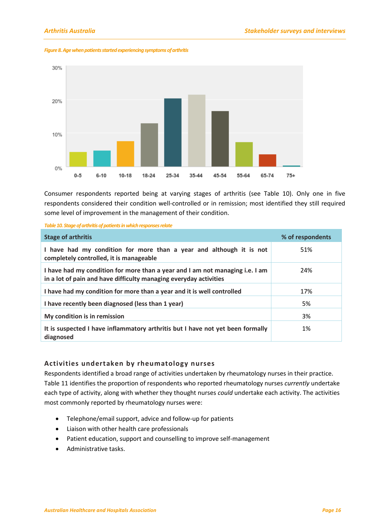

*Figure 8. Age when patients started experiencing symptoms of arthritis*

Consumer respondents reported being at varying stages of arthritis (see Table 10). Only one in five respondents considered their condition well-controlled or in remission; most identified they still required some level of improvement in the management of their condition.

|  |  | Table 10. Stage of arthritis of patients in which responses relate |
|--|--|--------------------------------------------------------------------|
|--|--|--------------------------------------------------------------------|

| <b>Stage of arthritis</b>                                                                                                                         | % of respondents |
|---------------------------------------------------------------------------------------------------------------------------------------------------|------------------|
| I have had my condition for more than a year and although it is not<br>completely controlled, it is manageable                                    | 51%              |
| I have had my condition for more than a year and I am not managing i.e. I am<br>in a lot of pain and have difficulty managing everyday activities | 24%              |
| I have had my condition for more than a year and it is well controlled                                                                            | 17%              |
| I have recently been diagnosed (less than 1 year)                                                                                                 | 5%               |
| My condition is in remission                                                                                                                      | 3%               |
| It is suspected I have inflammatory arthritis but I have not yet been formally<br>diagnosed                                                       | 1%               |

#### <span id="page-19-0"></span>**Activities undertaken by rheumatology nurses**

Respondents identified a broad range of activities undertaken by rheumatology nurses in their practice. Table 11 identifies the proportion of respondents who reported rheumatology nurses *currently* undertake each type of activity, along with whether they thought nurses *could* undertake each activity. The activities most commonly reported by rheumatology nurses were:

- Telephone/email support, advice and follow-up for patients
- Liaison with other health care professionals
- Patient education, support and counselling to improve self-management
- Administrative tasks.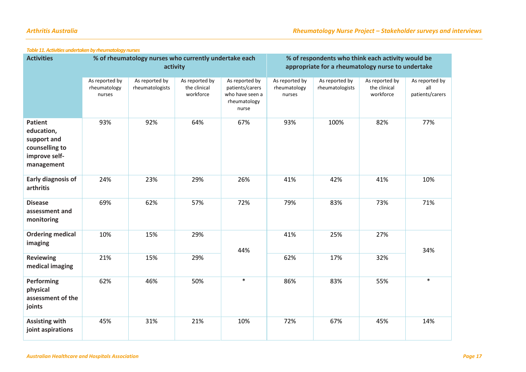| <b>Activities</b>                                                                            | % of rheumatology nurses who currently undertake each<br>activity |                                   |                                             | % of respondents who think each activity would be<br>appropriate for a rheumatology nurse to undertake |                                          |                                   |                                             |                                          |
|----------------------------------------------------------------------------------------------|-------------------------------------------------------------------|-----------------------------------|---------------------------------------------|--------------------------------------------------------------------------------------------------------|------------------------------------------|-----------------------------------|---------------------------------------------|------------------------------------------|
|                                                                                              | As reported by<br>rheumatology<br>nurses                          | As reported by<br>rheumatologists | As reported by<br>the clinical<br>workforce | As reported by<br>patients/carers<br>who have seen a<br>rheumatology<br>nurse                          | As reported by<br>rheumatology<br>nurses | As reported by<br>rheumatologists | As reported by<br>the clinical<br>workforce | As reported by<br>all<br>patients/carers |
| <b>Patient</b><br>education,<br>support and<br>counselling to<br>improve self-<br>management | 93%                                                               | 92%                               | 64%                                         | 67%                                                                                                    | 93%                                      | 100%                              | 82%                                         | 77%                                      |
| <b>Early diagnosis of</b><br>arthritis                                                       | 24%                                                               | 23%                               | 29%                                         | 26%                                                                                                    | 41%                                      | 42%                               | 41%                                         | 10%                                      |
| <b>Disease</b><br>assessment and<br>monitoring                                               | 69%                                                               | 62%                               | 57%                                         | 72%                                                                                                    | 79%                                      | 83%                               | 73%                                         | 71%                                      |
| <b>Ordering medical</b><br>imaging                                                           | 10%                                                               | 15%                               | 29%                                         | 44%                                                                                                    | 41%                                      | 25%                               | 27%                                         | 34%                                      |
| <b>Reviewing</b><br>medical imaging                                                          | 21%                                                               | 15%                               | 29%                                         |                                                                                                        | 62%                                      | 17%                               | 32%                                         |                                          |
| <b>Performing</b><br>physical<br>assessment of the<br>joints                                 | 62%                                                               | 46%                               | 50%                                         | $\ast$                                                                                                 | 86%                                      | 83%                               | 55%                                         | $\ast$                                   |
| <b>Assisting with</b><br>joint aspirations                                                   | 45%                                                               | 31%                               | 21%                                         | 10%                                                                                                    | 72%                                      | 67%                               | 45%                                         | 14%                                      |

#### *Table 11. Activities undertaken by rheumatology nurses*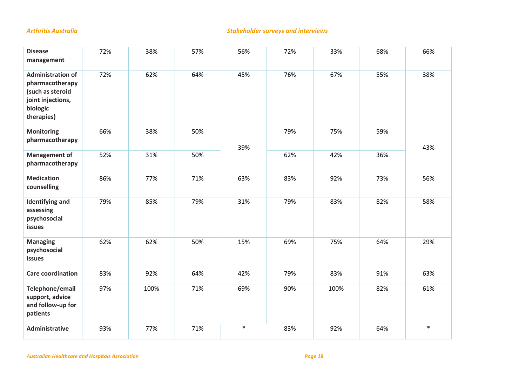#### *Arthritis Australia Stakeholder surveys and interviews*

| <b>Disease</b><br>management                                                                                   | 72% | 38%  | 57% | 56%    | 72% | 33%  | 68% | 66%    |
|----------------------------------------------------------------------------------------------------------------|-----|------|-----|--------|-----|------|-----|--------|
| <b>Administration of</b><br>pharmacotherapy<br>(such as steroid<br>joint injections,<br>biologic<br>therapies) | 72% | 62%  | 64% | 45%    | 76% | 67%  | 55% | 38%    |
| <b>Monitoring</b><br>pharmacotherapy                                                                           | 66% | 38%  | 50% | 39%    | 79% | 75%  | 59% | 43%    |
| <b>Management of</b><br>pharmacotherapy                                                                        | 52% | 31%  | 50% |        | 62% | 42%  | 36% |        |
| <b>Medication</b><br>counselling                                                                               | 86% | 77%  | 71% | 63%    | 83% | 92%  | 73% | 56%    |
| <b>Identifying and</b><br>assessing<br>psychosocial<br>issues                                                  | 79% | 85%  | 79% | 31%    | 79% | 83%  | 82% | 58%    |
| <b>Managing</b><br>psychosocial<br>issues                                                                      | 62% | 62%  | 50% | 15%    | 69% | 75%  | 64% | 29%    |
| <b>Care coordination</b>                                                                                       | 83% | 92%  | 64% | 42%    | 79% | 83%  | 91% | 63%    |
| Telephone/email<br>support, advice<br>and follow-up for<br>patients                                            | 97% | 100% | 71% | 69%    | 90% | 100% | 82% | 61%    |
| <b>Administrative</b>                                                                                          | 93% | 77%  | 71% | $\ast$ | 83% | 92%  | 64% | $\ast$ |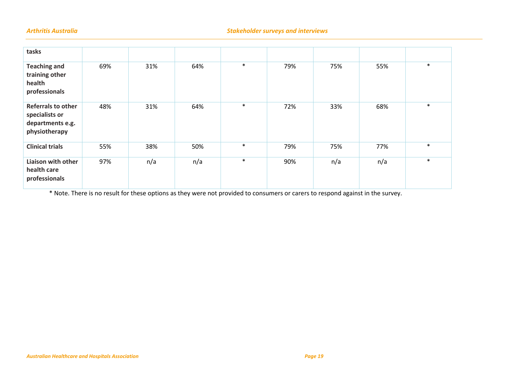| tasks                                                                            |     |     |     |        |     |     |     |        |
|----------------------------------------------------------------------------------|-----|-----|-----|--------|-----|-----|-----|--------|
| <b>Teaching and</b><br>training other<br>health<br>professionals                 | 69% | 31% | 64% | $\ast$ | 79% | 75% | 55% | $\ast$ |
| <b>Referrals to other</b><br>specialists or<br>departments e.g.<br>physiotherapy | 48% | 31% | 64% | $\ast$ | 72% | 33% | 68% | $\ast$ |
| <b>Clinical trials</b>                                                           | 55% | 38% | 50% | $\ast$ | 79% | 75% | 77% | $\ast$ |
| Liaison with other<br>health care<br>professionals                               | 97% | n/a | n/a | $\ast$ | 90% | n/a | n/a | $\ast$ |

\* Note. There is no result for these options as they were not provided to consumers or carers to respond against in the survey.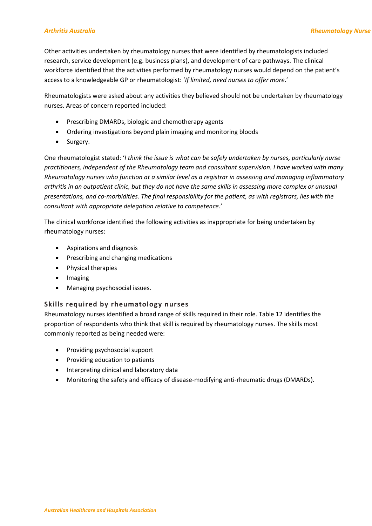Other activities undertaken by rheumatology nurses that were identified by rheumatologists included research, service development (e.g. business plans), and development of care pathways. The clinical workforce identified that the activities performed by rheumatology nurses would depend on the patient's access to a knowledgeable GP or rheumatologist: '*If limited, need nurses to offer more*.'

Rheumatologists were asked about any activities they believed should not be undertaken by rheumatology nurses. Areas of concern reported included:

- Prescribing DMARDs, biologic and chemotherapy agents
- Ordering investigations beyond plain imaging and monitoring bloods
- Surgery.

One rheumatologist stated: '*I think the issue is what can be safely undertaken by nurses, particularly nurse practitioners, independent of the Rheumatology team and consultant supervision. I have worked with many Rheumatology nurses who function at a similar level as a registrar in assessing and managing inflammatory arthritis in an outpatient clinic, but they do not have the same skills in assessing more complex or unusual presentations, and co-morbidities. The final responsibility for the patient, as with registrars, lies with the consultant with appropriate delegation relative to competence.*'

The clinical workforce identified the following activities as inappropriate for being undertaken by rheumatology nurses:

- Aspirations and diagnosis
- Prescribing and changing medications
- Physical therapies
- Imaging
- Managing psychosocial issues.

#### <span id="page-23-0"></span>**Skills required by rheumatology nurses**

Rheumatology nurses identified a broad range of skills required in their role. Table 12 identifies the proportion of respondents who think that skill is required by rheumatology nurses. The skills most commonly reported as being needed were:

- Providing psychosocial support
- Providing education to patients
- Interpreting clinical and laboratory data
- Monitoring the safety and efficacy of disease-modifying anti-rheumatic drugs (DMARDs).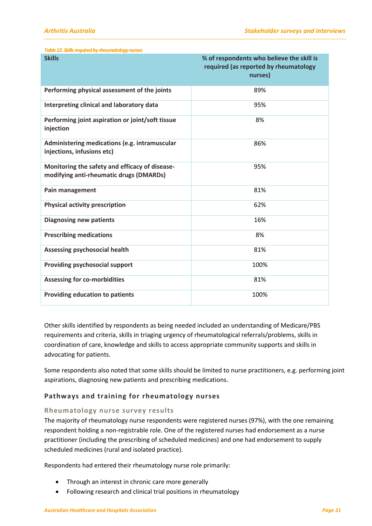| Table 12. Skills required by rheumatology nurses                                          |                                                                                               |
|-------------------------------------------------------------------------------------------|-----------------------------------------------------------------------------------------------|
| <b>Skills</b>                                                                             | % of respondents who believe the skill is<br>required (as reported by rheumatology<br>nurses) |
| Performing physical assessment of the joints                                              | 89%                                                                                           |
| Interpreting clinical and laboratory data                                                 | 95%                                                                                           |
| Performing joint aspiration or joint/soft tissue<br>injection                             | 8%                                                                                            |
| Administering medications (e.g. intramuscular<br>injections, infusions etc)               | 86%                                                                                           |
| Monitoring the safety and efficacy of disease-<br>modifying anti-rheumatic drugs (DMARDs) | 95%                                                                                           |
| Pain management                                                                           | 81%                                                                                           |
| <b>Physical activity prescription</b>                                                     | 62%                                                                                           |
| <b>Diagnosing new patients</b>                                                            | 16%                                                                                           |
| <b>Prescribing medications</b>                                                            | 8%                                                                                            |
| Assessing psychosocial health                                                             | 81%                                                                                           |
| Providing psychosocial support                                                            | 100%                                                                                          |
| <b>Assessing for co-morbidities</b>                                                       | 81%                                                                                           |
| <b>Providing education to patients</b>                                                    | 100%                                                                                          |

Other skills identified by respondents as being needed included an understanding of Medicare/PBS requirements and criteria, skills in triaging urgency of rheumatological referrals/problems, skills in coordination of care, knowledge and skills to access appropriate community supports and skills in advocating for patients.

Some respondents also noted that some skills should be limited to nurse practitioners, e.g. performing joint aspirations, diagnosing new patients and prescribing medications.

#### <span id="page-24-0"></span>**Pathways and training for rheumatology nurses**

#### **Rheumatology nurse survey results**

The majority of rheumatology nurse respondents were registered nurses (97%), with the one remaining respondent holding a non-registrable role. One of the registered nurses had endorsement as a nurse practitioner (including the prescribing of scheduled medicines) and one had endorsement to supply scheduled medicines (rural and isolated practice).

Respondents had entered their rheumatology nurse role primarily:

- Through an interest in chronic care more generally
- Following research and clinical trial positions in rheumatology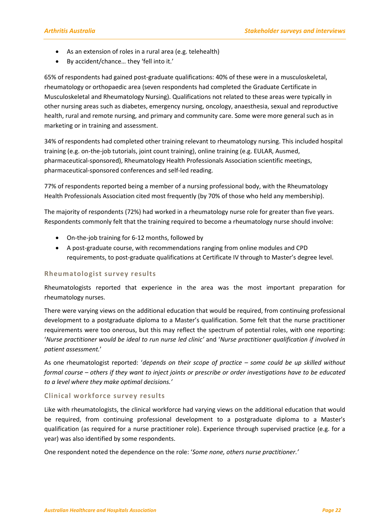- As an extension of roles in a rural area (e.g. telehealth)
- By accident/chance… they 'fell into it.'

65% of respondents had gained post-graduate qualifications: 40% of these were in a musculoskeletal, rheumatology or orthopaedic area (seven respondents had completed the Graduate Certificate in Musculoskeletal and Rheumatology Nursing). Qualifications not related to these areas were typically in other nursing areas such as diabetes, emergency nursing, oncology, anaesthesia, sexual and reproductive health, rural and remote nursing, and primary and community care. Some were more general such as in marketing or in training and assessment.

34% of respondents had completed other training relevant to rheumatology nursing. This included hospital training (e.g. on-the-job tutorials, joint count training), online training (e.g. EULAR, Ausmed, pharmaceutical-sponsored), Rheumatology Health Professionals Association scientific meetings, pharmaceutical-sponsored conferences and self-led reading.

77% of respondents reported being a member of a nursing professional body, with the Rheumatology Health Professionals Association cited most frequently (by 70% of those who held any membership).

The majority of respondents (72%) had worked in a rheumatology nurse role for greater than five years. Respondents commonly felt that the training required to become a rheumatology nurse should involve:

- On-the-job training for 6-12 months, followed by
- A post-graduate course, with recommendations ranging from online modules and CPD requirements, to post-graduate qualifications at Certificate IV through to Master's degree level.

#### **Rheumatologist survey results**

Rheumatologists reported that experience in the area was the most important preparation for rheumatology nurses.

There were varying views on the additional education that would be required, from continuing professional development to a postgraduate diploma to a Master's qualification. Some felt that the nurse practitioner requirements were too onerous, but this may reflect the spectrum of potential roles, with one reporting: '*Nurse practitioner would be ideal to run nurse led clinic'* and '*Nurse practitioner qualification if involved in patient assessment.*'

As one rheumatologist reported: '*depends on their scope of practice – some could be up skilled without formal course – others if they want to inject joints or prescribe or order investigations have to be educated to a level where they make optimal decisions.'*

#### **Clinical workforce survey results**

Like with rheumatologists, the clinical workforce had varying views on the additional education that would be required, from continuing professional development to a postgraduate diploma to a Master's qualification (as required for a nurse practitioner role). Experience through supervised practice (e.g. for a year) was also identified by some respondents.

One respondent noted the dependence on the role: '*Some none, others nurse practitioner.'*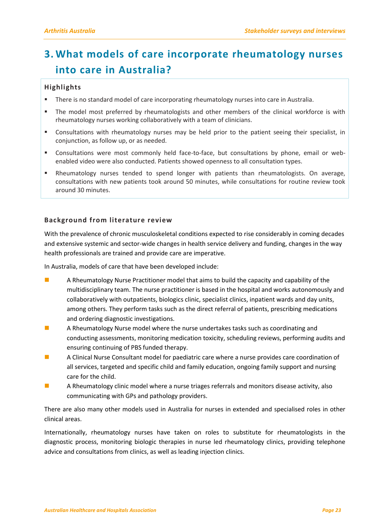### <span id="page-26-0"></span>**3. What models of care incorporate rheumatology nurses into care in Australia?**

#### <span id="page-26-1"></span>**Highlights**

- There is no standard model of care incorporating rheumatology nurses into care in Australia.
- The model most preferred by rheumatologists and other members of the clinical workforce is with rheumatology nurses working collaboratively with a team of clinicians.
- Consultations with rheumatology nurses may be held prior to the patient seeing their specialist, in conjunction, as follow up, or as needed.
- Consultations were most commonly held face-to-face, but consultations by phone, email or webenabled video were also conducted. Patients showed openness to all consultation types.
- Rheumatology nurses tended to spend longer with patients than rheumatologists. On average, consultations with new patients took around 50 minutes, while consultations for routine review took around 30 minutes.

#### <span id="page-26-2"></span>**Background from literature review**

With the prevalence of chronic musculoskeletal conditions expected to rise considerably in coming decades and extensive systemic and sector-wide changes in health service delivery and funding, changes in the way health professionals are trained and provide care are imperative.

In Australia, models of care that have been developed include:

- **A** Rheumatology Nurse Practitioner model that aims to build the capacity and capability of the multidisciplinary team. The nurse practitioner is based in the hospital and works autonomously and collaboratively with outpatients, biologics clinic, specialist clinics, inpatient wards and day units, among others. They perform tasks such as the direct referral of patients, prescribing medications and ordering diagnostic investigations.
- **A** A Rheumatology Nurse model where the nurse undertakes tasks such as coordinating and conducting assessments, monitoring medication toxicity, scheduling reviews, performing audits and ensuring continuing of PBS funded therapy.
- **A Clinical Nurse Consultant model for paediatric care where a nurse provides care coordination of** all services, targeted and specific child and family education, ongoing family support and nursing care for the child.
- **A** A Rheumatology clinic model where a nurse triages referrals and monitors disease activity, also communicating with GPs and pathology providers.

There are also many other models used in Australia for nurses in extended and specialised roles in other clinical areas.

Internationally, rheumatology nurses have taken on roles to substitute for rheumatologists in the diagnostic process, monitoring biologic therapies in nurse led rheumatology clinics, providing telephone advice and consultations from clinics, as well as leading injection clinics.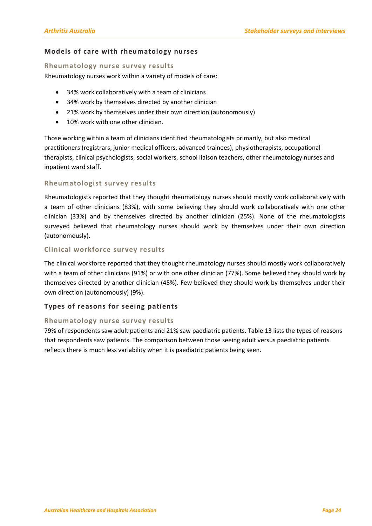#### <span id="page-27-0"></span>**Models of care with rheumatology nurses**

#### **Rheumatology nurse survey results**

Rheumatology nurses work within a variety of models of care:

- 34% work collaboratively with a team of clinicians
- 34% work by themselves directed by another clinician
- 21% work by themselves under their own direction (autonomously)
- 10% work with one other clinician.

Those working within a team of clinicians identified rheumatologists primarily, but also medical practitioners (registrars, junior medical officers, advanced trainees), physiotherapists, occupational therapists, clinical psychologists, social workers, school liaison teachers, other rheumatology nurses and inpatient ward staff.

#### **Rheumatologist survey results**

Rheumatologists reported that they thought rheumatology nurses should mostly work collaboratively with a team of other clinicians (83%), with some believing they should work collaboratively with one other clinician (33%) and by themselves directed by another clinician (25%). None of the rheumatologists surveyed believed that rheumatology nurses should work by themselves under their own direction (autonomously).

#### **Clinical workforce survey results**

The clinical workforce reported that they thought rheumatology nurses should mostly work collaboratively with a team of other clinicians (91%) or with one other clinician (77%). Some believed they should work by themselves directed by another clinician (45%). Few believed they should work by themselves under their own direction (autonomously) (9%).

#### <span id="page-27-1"></span>**Types of reasons for seeing patients**

#### **Rheumatology nurse survey results**

79% of respondents saw adult patients and 21% saw paediatric patients. Table 13 lists the types of reasons that respondents saw patients. The comparison between those seeing adult versus paediatric patients reflects there is much less variability when it is paediatric patients being seen.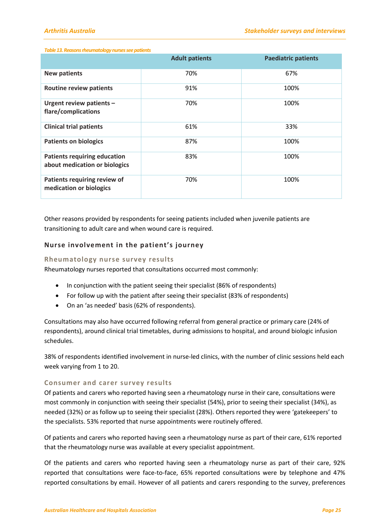#### *Table 13. Reasons rheumatology nurses see patients*

|                                                                      | <b>Adult patients</b> | <b>Paediatric patients</b> |
|----------------------------------------------------------------------|-----------------------|----------------------------|
| <b>New patients</b>                                                  | 70%                   | 67%                        |
| <b>Routine review patients</b>                                       | 91%                   | 100%                       |
| Urgent review patients -<br>flare/complications                      | 70%                   | 100%                       |
| <b>Clinical trial patients</b>                                       | 61%                   | 33%                        |
| <b>Patients on biologics</b>                                         | 87%                   | 100%                       |
| <b>Patients requiring education</b><br>about medication or biologics | 83%                   | 100%                       |
| Patients requiring review of<br>medication or biologics              | 70%                   | 100%                       |

Other reasons provided by respondents for seeing patients included when juvenile patients are transitioning to adult care and when wound care is required.

#### <span id="page-28-0"></span>**Nurse involvement in the patient's journey**

#### **Rheumatology nurse survey results**

Rheumatology nurses reported that consultations occurred most commonly:

- In conjunction with the patient seeing their specialist (86% of respondents)
- For follow up with the patient after seeing their specialist (83% of respondents)
- On an 'as needed' basis (62% of respondents).

Consultations may also have occurred following referral from general practice or primary care (24% of respondents), around clinical trial timetables, during admissions to hospital, and around biologic infusion schedules.

38% of respondents identified involvement in nurse-led clinics, with the number of clinic sessions held each week varying from 1 to 20.

#### **Consumer and carer survey results**

Of patients and carers who reported having seen a rheumatology nurse in their care, consultations were most commonly in conjunction with seeing their specialist (54%), prior to seeing their specialist (34%), as needed (32%) or as follow up to seeing their specialist (28%). Others reported they were 'gatekeepers' to the specialists. 53% reported that nurse appointments were routinely offered.

Of patients and carers who reported having seen a rheumatology nurse as part of their care, 61% reported that the rheumatology nurse was available at every specialist appointment.

Of the patients and carers who reported having seen a rheumatology nurse as part of their care, 92% reported that consultations were face-to-face, 65% reported consultations were by telephone and 47% reported consultations by email. However of all patients and carers responding to the survey, preferences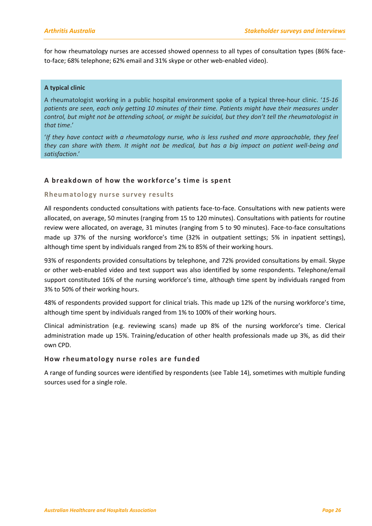for how rheumatology nurses are accessed showed openness to all types of consultation types (86% faceto-face; 68% telephone; 62% email and 31% skype or other web-enabled video).

#### **A typical clinic**

A rheumatologist working in a public hospital environment spoke of a typical three-hour clinic. '*15-16 patients are seen, each only getting 10 minutes of their time. Patients might have their measures under control, but might not be attending school, or might be suicidal, but they don't tell the rheumatologist in that time*.'

'*If they have contact with a rheumatology nurse, who is less rushed and more approachable, they feel they can share with them. It might not be medical, but has a big impact on patient well-being and satisfaction*.'

#### <span id="page-29-0"></span>**A breakdown of how the workforce's time is spent**

#### **Rheumatology nurse survey results**

All respondents conducted consultations with patients face-to-face. Consultations with new patients were allocated, on average, 50 minutes (ranging from 15 to 120 minutes). Consultations with patients for routine review were allocated, on average, 31 minutes (ranging from 5 to 90 minutes). Face-to-face consultations made up 37% of the nursing workforce's time (32% in outpatient settings; 5% in inpatient settings), although time spent by individuals ranged from 2% to 85% of their working hours.

93% of respondents provided consultations by telephone, and 72% provided consultations by email. Skype or other web-enabled video and text support was also identified by some respondents. Telephone/email support constituted 16% of the nursing workforce's time, although time spent by individuals ranged from 3% to 50% of their working hours.

48% of respondents provided support for clinical trials. This made up 12% of the nursing workforce's time, although time spent by individuals ranged from 1% to 100% of their working hours.

Clinical administration (e.g. reviewing scans) made up 8% of the nursing workforce's time. Clerical administration made up 15%. Training/education of other health professionals made up 3%, as did their own CPD.

#### <span id="page-29-1"></span>**How rheumatology nurse roles are funded**

A range of funding sources were identified by respondents (see Table 14), sometimes with multiple funding sources used for a single role.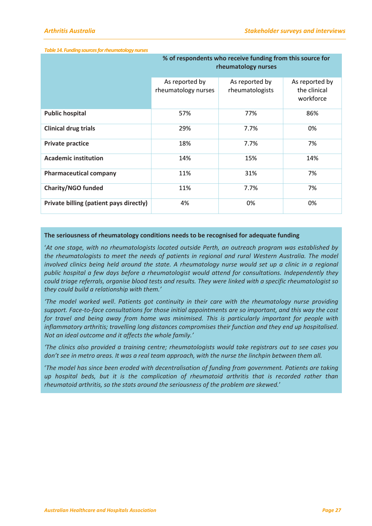#### *Table 14. Funding sources for rheumatology nurses*

|                                         | % of respondents who receive funding from this source for<br>rheumatology nurses |                                   |                                             |  |  |
|-----------------------------------------|----------------------------------------------------------------------------------|-----------------------------------|---------------------------------------------|--|--|
|                                         | As reported by<br>rheumatology nurses                                            | As reported by<br>rheumatologists | As reported by<br>the clinical<br>workforce |  |  |
| <b>Public hospital</b>                  | 57%                                                                              | 77%                               | 86%                                         |  |  |
| <b>Clinical drug trials</b>             | 29%                                                                              | 7.7%                              | 0%                                          |  |  |
| <b>Private practice</b>                 | 18%                                                                              | 7.7%                              | 7%                                          |  |  |
| <b>Academic institution</b>             | 14%                                                                              | 15%                               | 14%                                         |  |  |
| <b>Pharmaceutical company</b>           | 11%                                                                              | 31%                               | 7%                                          |  |  |
| <b>Charity/NGO funded</b>               | 11%                                                                              | 7.7%                              | 7%                                          |  |  |
| Private billing (patient pays directly) | 4%                                                                               | 0%                                | 0%                                          |  |  |

#### **The seriousness of rheumatology conditions needs to be recognised for adequate funding**

'*At one stage, with no rheumatologists located outside Perth, an outreach program was established by the rheumatologists to meet the needs of patients in regional and rural Western Australia. The model involved clinics being held around the state. A rheumatology nurse would set up a clinic in a regional public hospital a few days before a rheumatologist would attend for consultations. Independently they could triage referrals, organise blood tests and results. They were linked with a specific rheumatologist so they could build a relationship with them.'*

*'The model worked well*. *Patients got continuity in their care with the rheumatology nurse providing support. Face-to-face consultations for those initial appointments are so important, and this way the cost for travel and being away from home was minimised. This is particularly important for people with inflammatory arthritis; travelling long distances compromises their function and they end up hospitalised. Not an ideal outcome and it affects the whole family.'*

*'The clinics also provided a training centre; rheumatologists would take registrars out to see cases you don't see in metro areas. It was a real team approach, with the nurse the linchpin between them all.*

'*The model has since been eroded with decentralisation of funding from government. Patients are taking up hospital beds, but it is the complication of rheumatoid arthritis that is recorded rather than rheumatoid arthritis, so the stats around the seriousness of the problem are skewed.*'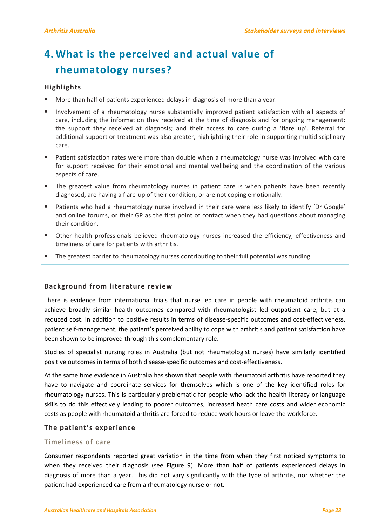### <span id="page-31-0"></span>**4. What is the perceived and actual value of rheumatology nurses?**

#### <span id="page-31-1"></span>**Highlights**

- More than half of patients experienced delays in diagnosis of more than a year.
- Involvement of a rheumatology nurse substantially improved patient satisfaction with all aspects of care, including the information they received at the time of diagnosis and for ongoing management; the support they received at diagnosis; and their access to care during a 'flare up'. Referral for additional support or treatment was also greater, highlighting their role in supporting multidisciplinary care.
- Patient satisfaction rates were more than double when a rheumatology nurse was involved with care for support received for their emotional and mental wellbeing and the coordination of the various aspects of care.
- The greatest value from rheumatology nurses in patient care is when patients have been recently diagnosed, are having a flare-up of their condition, or are not coping emotionally.
- Patients who had a rheumatology nurse involved in their care were less likely to identify 'Dr Google' and online forums, or their GP as the first point of contact when they had questions about managing their condition.
- Other health professionals believed rheumatology nurses increased the efficiency, effectiveness and timeliness of care for patients with arthritis.
- The greatest barrier to rheumatology nurses contributing to their full potential was funding.

#### <span id="page-31-2"></span>**Background from literature review**

There is evidence from international trials that nurse led care in people with rheumatoid arthritis can achieve broadly similar health outcomes compared with rheumatologist led outpatient care, but at a reduced cost. In addition to positive results in terms of disease-specific outcomes and cost-effectiveness, patient self-management, the patient's perceived ability to cope with arthritis and patient satisfaction have been shown to be improved through this complementary role.

Studies of specialist nursing roles in Australia (but not rheumatologist nurses) have similarly identified positive outcomes in terms of both disease-specific outcomes and cost-effectiveness.

At the same time evidence in Australia has shown that people with rheumatoid arthritis have reported they have to navigate and coordinate services for themselves which is one of the key identified roles for rheumatology nurses. This is particularly problematic for people who lack the health literacy or language skills to do this effectively leading to poorer outcomes, increased heath care costs and wider economic costs as people with rheumatoid arthritis are forced to reduce work hours or leave the workforce.

#### <span id="page-31-3"></span>**The patient's experience**

#### <span id="page-31-4"></span>**Timeliness of care**

Consumer respondents reported great variation in the time from when they first noticed symptoms to when they received their diagnosis (see Figure 9). More than half of patients experienced delays in diagnosis of more than a year. This did not vary significantly with the type of arthritis, nor whether the patient had experienced care from a rheumatology nurse or not.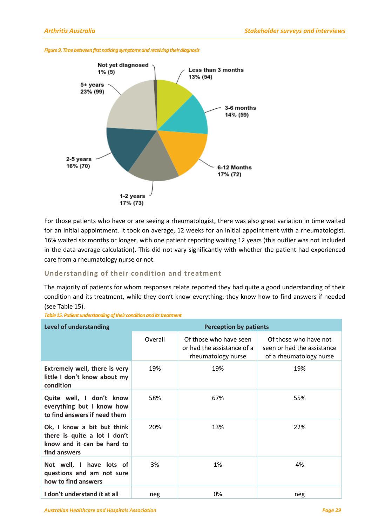



For those patients who have or are seeing a rheumatologist, there was also great variation in time waited for an initial appointment. It took on average, 12 weeks for an initial appointment with a rheumatologist. 16% waited six months or longer, with one patient reporting waiting 12 years (this outlier was not included in the data average calculation). This did not vary significantly with whether the patient had experienced care from a rheumatology nurse or not.

#### <span id="page-32-0"></span>**Understanding of their condition and treatment**

The majority of patients for whom responses relate reported they had quite a good understanding of their condition and its treatment, while they don't know everything, they know how to find answers if needed (see Table 15).

|  | Table 15. Patient understanding of their condition and its treatment |  |  |
|--|----------------------------------------------------------------------|--|--|
|  |                                                                      |  |  |

| <b>Level of understanding</b>                                                                            | <b>Perception by patients</b> |                                                                            |                                                                                |  |  |
|----------------------------------------------------------------------------------------------------------|-------------------------------|----------------------------------------------------------------------------|--------------------------------------------------------------------------------|--|--|
|                                                                                                          | Overall                       | Of those who have seen<br>or had the assistance of a<br>rheumatology nurse | Of those who have not<br>seen or had the assistance<br>of a rheumatology nurse |  |  |
| Extremely well, there is very<br>little I don't know about my<br>condition                               | 19%                           | 19%                                                                        | 19%                                                                            |  |  |
| Quite well, I don't know<br>everything but I know how<br>to find answers if need them                    | 58%                           | 67%                                                                        | 55%                                                                            |  |  |
| Ok, I know a bit but think<br>there is quite a lot I don't<br>know and it can be hard to<br>find answers | 20%                           | 13%                                                                        | 22%                                                                            |  |  |
| Not well, I have lots of<br>questions and am not sure<br>how to find answers                             | 3%                            | 1%                                                                         | 4%                                                                             |  |  |
| I don't understand it at all                                                                             | neg                           | 0%                                                                         | neg                                                                            |  |  |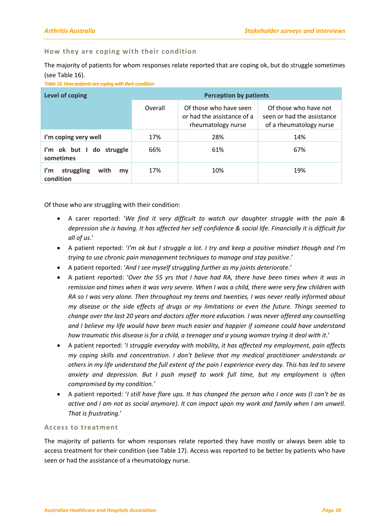#### <span id="page-33-0"></span>**How they are coping with their condition**

The majority of patients for whom responses relate reported that are coping ok, but do struggle sometimes (see Table 16).

*Table 16. How patients are coping with their condition* 

| <b>Level of coping</b>                       | <b>Perception by patients</b> |                                                                            |                                                                                |
|----------------------------------------------|-------------------------------|----------------------------------------------------------------------------|--------------------------------------------------------------------------------|
|                                              | Overall                       | Of those who have seen<br>or had the assistance of a<br>rheumatology nurse | Of those who have not<br>seen or had the assistance<br>of a rheumatology nurse |
| I'm coping very well                         | 17%                           | 28%                                                                        | 14%                                                                            |
| I'm ok but I do struggle<br>sometimes        | 66%                           | 61%                                                                        | 67%                                                                            |
| struggling<br>I'm<br>with<br>my<br>condition | 17%                           | 10%                                                                        | 19%                                                                            |

Of those who are struggling with their condition:

- A carer reported: '*We find it very difficult to watch our daughter struggle with the pain & depression she is having. It has affected her self confidence & social life. Financially it is difficult for all of us*.'
- A patient reported: '*I'm ok but I struggle a lot. I try and keep a positive mindset though and I'm trying to use chronic pain management techniques to manage and stay positive*.'
- A patient reported: '*And I see myself struggling further as my joints deteriorate*.'
- A patient reported: '*Over the 55 yrs that I have had RA, there have been times when it was in remission and times when it was very severe. When I was a child, there were very few children with RA so I was very alone. Then throughout my teens and twenties, I was never really informed about my disease or the side effects of drugs or my limitations or even the future. Things seemed to change over the last 20 years and doctors offer more education. I was never offered any counselling and I believe my life would have been much easier and happier if someone could have understand*  how traumatic this disease is for a child, a teenager and a young woman trying it deal with it.'
- A patient reported: '*I struggle everyday with mobility, it has affected my employment, pain affects my coping skills and concentration. I don't believe that my medical practitioner understands or others in my life understand the full extent of the pain I experience every day. This has led to severe anxiety and depression. But I push myself to work full time, but my employment is often compromised by my condition.'*
- A patient reported: '*I still have flare ups. It has changed the person who I once was (I can't be as active and I am not as social anymore). It can impact upon my work and family when I am unwell. That is frustrating.*'

#### <span id="page-33-1"></span>**Access to treatment**

The majority of patients for whom responses relate reported they have mostly or always been able to access treatment for their condition (see Table 17). Access was reported to be better by patients who have seen or had the assistance of a rheumatology nurse.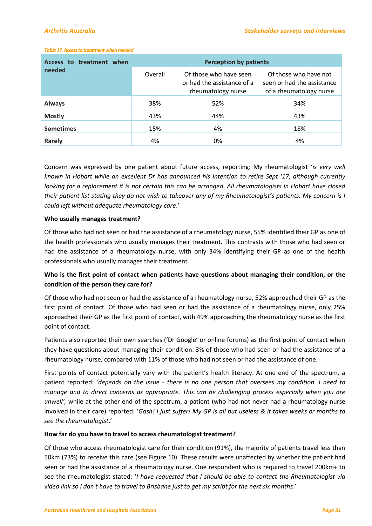#### *Table 17. Access to treatment when needed*

| Access to treatment when<br>needed | <b>Perception by patients</b> |                                                                            |                                                                                |  |
|------------------------------------|-------------------------------|----------------------------------------------------------------------------|--------------------------------------------------------------------------------|--|
|                                    | Overall                       | Of those who have seen<br>or had the assistance of a<br>rheumatology nurse | Of those who have not<br>seen or had the assistance<br>of a rheumatology nurse |  |
| <b>Always</b>                      | 38%                           | 52%                                                                        | 34%                                                                            |  |
| <b>Mostly</b>                      | 43%                           | 44%                                                                        | 43%                                                                            |  |
| <b>Sometimes</b>                   | 15%                           | 4%                                                                         | 18%                                                                            |  |
| Rarely                             | 4%                            | 0%                                                                         | 4%                                                                             |  |

Concern was expressed by one patient about future access, reporting: My rheumatologist '*is very well known in Hobart while an excellent Dr has announced his intention to retire Sept '17, although currently looking for a replacement it is not certain this can be arranged. All rheumatologists in Hobart have closed their patient list stating they do not wish to takeover any of my Rheumatologist's patients. My concern is I could left without adequate rheumatology care*.'

#### **Who usually manages treatment?**

Of those who had not seen or had the assistance of a rheumatology nurse, 55% identified their GP as one of the health professionals who usually manages their treatment. This contrasts with those who had seen or had the assistance of a rheumatology nurse, with only 34% identifying their GP as one of the health professionals who usually manages their treatment.

#### **Who is the first point of contact when patients have questions about managing their condition, or the condition of the person they care for?**

Of those who had not seen or had the assistance of a rheumatology nurse, 52% approached their GP as the first point of contact. Of those who had seen or had the assistance of a rheumatology nurse, only 25% approached their GP as the first point of contact, with 49% approaching the rheumatology nurse as the first point of contact.

Patients also reported their own searches ('Dr Google' or online forums) as the first point of contact when they have questions about managing their condition: 3% of those who had seen or had the assistance of a rheumatology nurse, compared with 11% of those who had not seen or had the assistance of one.

First points of contact potentially vary with the patient's health literacy. At one end of the spectrum, a patient reported: *'depends on the issue - there is no one person that oversees my condition. I need to manage and to direct concerns as appropriate. This can be challenging process especially when you are unwell',* while at the other end of the spectrum, a patient (who had not never had a rheumatology nurse involved in their care) reported: '*Gosh! I just suffer! My GP is all but useless & it takes weeks or months to see the rheumatologist*.'

#### **How far do you have to travel to access rheumatologist treatment?**

Of those who access rheumatologist care for their condition (91%), the majority of patients travel less than 50km (73%) to receive this care (see Figure 10). These results were unaffected by whether the patient had seen or had the assistance of a rheumatology nurse. One respondent who is required to travel 200km+ to see the rheumatologist stated: '*I have requested that I should be able to contact the Rheumatologist via video link so I don't have to travel to Brisbane just to get my script for the next six months*.'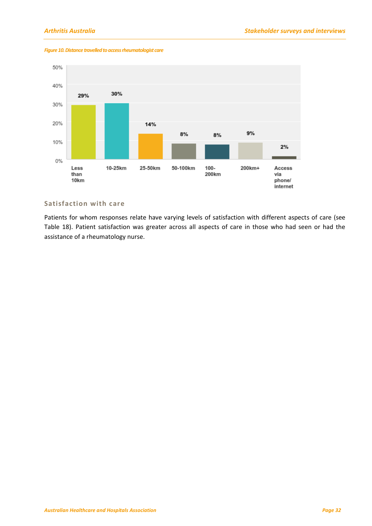20%

10%

 $0\%$ 

 $2%$ 

Access

phone/ internet

via

 $9%$ 

200km+



14%

25-50km

#### *Figure 10. Distance travelled to access rheumatologist care*

10-25km

### <span id="page-35-0"></span>**Satisfaction with care**

Less

than

10km

Patients for whom responses relate have varying levels of satisfaction with different aspects of care (see Table 18). Patient satisfaction was greater across all aspects of care in those who had seen or had the assistance of a rheumatology nurse.

 $8%$ 

50-100km

 $8%$ 

 $100 -$ 

200km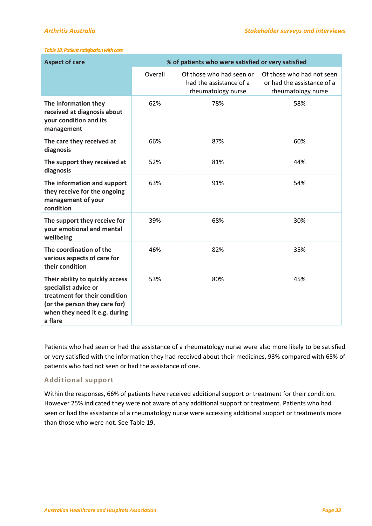#### *Table 18.Patient satisfaction with care*

| <b>Aspect of care</b>                                                                                                                                                 | % of patients who were satisfied or very satisfied |                                                                           |                                                                               |
|-----------------------------------------------------------------------------------------------------------------------------------------------------------------------|----------------------------------------------------|---------------------------------------------------------------------------|-------------------------------------------------------------------------------|
|                                                                                                                                                                       | Overall                                            | Of those who had seen or<br>had the assistance of a<br>rheumatology nurse | Of those who had not seen<br>or had the assistance of a<br>rheumatology nurse |
| The information they<br>received at diagnosis about<br>your condition and its<br>management                                                                           | 62%                                                | 78%                                                                       | 58%                                                                           |
| The care they received at<br>diagnosis                                                                                                                                | 66%                                                | 87%                                                                       | 60%                                                                           |
| The support they received at<br>diagnosis                                                                                                                             | 52%                                                | 81%                                                                       | 44%                                                                           |
| The information and support<br>they receive for the ongoing<br>management of your<br>condition                                                                        | 63%                                                | 91%                                                                       | 54%                                                                           |
| The support they receive for<br>your emotional and mental<br>wellbeing                                                                                                | 39%                                                | 68%                                                                       | 30%                                                                           |
| The coordination of the<br>various aspects of care for<br>their condition                                                                                             | 46%                                                | 82%                                                                       | 35%                                                                           |
| Their ability to quickly access<br>specialist advice or<br>treatment for their condition<br>(or the person they care for)<br>when they need it e.g. during<br>a flare | 53%                                                | 80%                                                                       | 45%                                                                           |

Patients who had seen or had the assistance of a rheumatology nurse were also more likely to be satisfied or very satisfied with the information they had received about their medicines, 93% compared with 65% of patients who had not seen or had the assistance of one.

#### <span id="page-36-0"></span>**Additional support**

Within the responses, 66% of patients have received additional support or treatment for their condition. However 25% indicated they were not aware of any additional support or treatment. Patients who had seen or had the assistance of a rheumatology nurse were accessing additional support or treatments more than those who were not. See Table 19.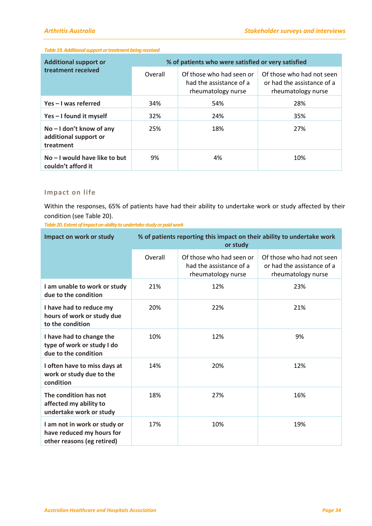#### *Table 19.Additional support or treatment being received*

| <b>Additional support or</b><br>treatment received               | % of patients who were satisfied or very satisfied |                                                                           |                                                                               |  |
|------------------------------------------------------------------|----------------------------------------------------|---------------------------------------------------------------------------|-------------------------------------------------------------------------------|--|
|                                                                  | Overall                                            | Of those who had seen or<br>had the assistance of a<br>rheumatology nurse | Of those who had not seen<br>or had the assistance of a<br>rheumatology nurse |  |
| Yes-I was referred                                               | 34%                                                | 54%                                                                       | 28%                                                                           |  |
| Yes - I found it myself                                          | 32%                                                | 24%                                                                       | 35%                                                                           |  |
| $No - I don't know of any$<br>additional support or<br>treatment | 25%                                                | 18%                                                                       | 27%                                                                           |  |
| $No - I$ would have like to but<br>couldn't afford it            | 9%                                                 | 4%                                                                        | 10%                                                                           |  |

#### <span id="page-37-0"></span>**Impact on life**

Within the responses, 65% of patients have had their ability to undertake work or study affected by their condition (see Table 20).

*Table 20. Extent of impact on ability to undertake study or paid work*

| Impact on work or study                                                                 | % of patients reporting this impact on their ability to undertake work<br>or study |                                                                           |                                                                               |
|-----------------------------------------------------------------------------------------|------------------------------------------------------------------------------------|---------------------------------------------------------------------------|-------------------------------------------------------------------------------|
|                                                                                         | Overall                                                                            | Of those who had seen or<br>had the assistance of a<br>rheumatology nurse | Of those who had not seen<br>or had the assistance of a<br>rheumatology nurse |
| I am unable to work or study<br>due to the condition                                    | 21%                                                                                | 12%                                                                       | 23%                                                                           |
| I have had to reduce my<br>hours of work or study due<br>to the condition               | 20%                                                                                | 22%                                                                       | 21%                                                                           |
| I have had to change the<br>type of work or study I do<br>due to the condition          | 10%                                                                                | 12%                                                                       | 9%                                                                            |
| I often have to miss days at<br>work or study due to the<br>condition                   | 14%                                                                                | 20%                                                                       | 12%                                                                           |
| The condition has not<br>affected my ability to<br>undertake work or study              | 18%                                                                                | 27%                                                                       | 16%                                                                           |
| I am not in work or study or<br>have reduced my hours for<br>other reasons (eg retired) | 17%                                                                                | 10%                                                                       | 19%                                                                           |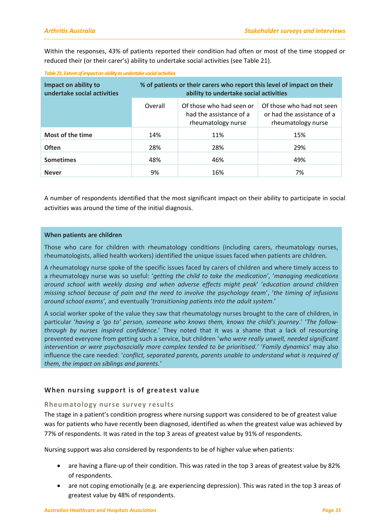Within the responses, 43% of patients reported their condition had often or most of the time stopped or reduced their (or their carer's) ability to undertake social activities (see Table 21).

| Impact on ability to<br>undertake social activities | % of patients or their carers who report this level of impact on their<br>ability to undertake social activities |                                                                           |                                                                               |  |
|-----------------------------------------------------|------------------------------------------------------------------------------------------------------------------|---------------------------------------------------------------------------|-------------------------------------------------------------------------------|--|
|                                                     | Overall                                                                                                          | Of those who had seen or<br>had the assistance of a<br>rheumatology nurse | Of those who had not seen<br>or had the assistance of a<br>rheumatology nurse |  |
| Most of the time                                    | 14%                                                                                                              | 11%                                                                       | 15%                                                                           |  |
| <b>Often</b>                                        | 28%                                                                                                              | 28%                                                                       | 29%                                                                           |  |
| <b>Sometimes</b>                                    | 48%                                                                                                              | 46%                                                                       | 49%                                                                           |  |
| <b>Never</b>                                        | 9%                                                                                                               | 16%                                                                       | 7%                                                                            |  |

*Table 21. Extent of impact on ability to undertake social activities*

A number of respondents identified that the most significant impact on their ability to participate in social activities was around the time of the initial diagnosis.

#### **When patients are children**

Those who care for children with rheumatology conditions (including carers, rheumatology nurses, rheumatologists, allied health workers) identified the unique issues faced when patients are children.

A rheumatology nurse spoke of the specific issues faced by carers of children and where timely access to a rheumatology nurse was so useful: '*getting the child to take the medication'*, '*managing medications around school with weekly dosing and when adverse effects might peak*' '*education around children missing school because of pain and the need to involve the psychology team*', '*the timing of infusions around school exams'*, and eventually '*transitioning patients into the adult system*.'

A social worker spoke of the value they saw that rheumatology nurses brought to the care of children, in particular '*having a 'go to' person, someone who knows them, knows the child's journey*.' '*The followthrough by nurses inspired confidence.*' They noted that it was a shame that a lack of resourcing prevented everyone from getting such a service, but children '*who were really unwell, needed significant intervention or were psychosocially more complex tended to be prioritised.'* '*Family dynamics*' may also influence the care needed: '*conflict, separated parents, parents unable to understand what is required of them, the impact on siblings and parents.'*

#### <span id="page-38-0"></span>**When nursing support is of greatest value**

#### <span id="page-38-1"></span>**Rheumatology nurse survey results**

The stage in a patient's condition progress where nursing support was considered to be of greatest value was for patients who have recently been diagnosed, identified as when the greatest value was achieved by 77% of respondents. It was rated in the top 3 areas of greatest value by 91% of respondents.

Nursing support was also considered by respondents to be of higher value when patients:

- are having a flare-up of their condition. This was rated in the top 3 areas of greatest value by 82% of respondents.
- are not coping emotionally (e.g. are experiencing depression). This was rated in the top 3 areas of greatest value by 48% of respondents.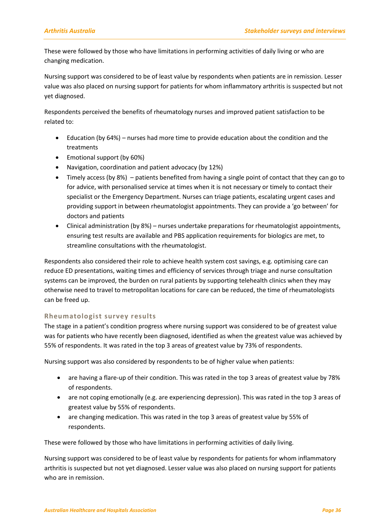These were followed by those who have limitations in performing activities of daily living or who are changing medication.

Nursing support was considered to be of least value by respondents when patients are in remission. Lesser value was also placed on nursing support for patients for whom inflammatory arthritis is suspected but not yet diagnosed.

Respondents perceived the benefits of rheumatology nurses and improved patient satisfaction to be related to:

- Education (by 64%) nurses had more time to provide education about the condition and the treatments
- Emotional support (by 60%)
- Navigation, coordination and patient advocacy (by 12%)
- Timely access (by 8%) patients benefited from having a single point of contact that they can go to for advice, with personalised service at times when it is not necessary or timely to contact their specialist or the Emergency Department. Nurses can triage patients, escalating urgent cases and providing support in between rheumatologist appointments. They can provide a 'go between' for doctors and patients
- Clinical administration (by 8%) nurses undertake preparations for rheumatologist appointments, ensuring test results are available and PBS application requirements for biologics are met, to streamline consultations with the rheumatologist.

Respondents also considered their role to achieve health system cost savings, e.g. optimising care can reduce ED presentations, waiting times and efficiency of services through triage and nurse consultation systems can be improved, the burden on rural patients by supporting telehealth clinics when they may otherwise need to travel to metropolitan locations for care can be reduced, the time of rheumatologists can be freed up.

#### <span id="page-39-0"></span>**Rheumatologist survey results**

The stage in a patient's condition progress where nursing support was considered to be of greatest value was for patients who have recently been diagnosed, identified as when the greatest value was achieved by 55% of respondents. It was rated in the top 3 areas of greatest value by 73% of respondents.

Nursing support was also considered by respondents to be of higher value when patients:

- are having a flare-up of their condition. This was rated in the top 3 areas of greatest value by 78% of respondents.
- are not coping emotionally (e.g. are experiencing depression). This was rated in the top 3 areas of greatest value by 55% of respondents.
- are changing medication. This was rated in the top 3 areas of greatest value by 55% of respondents.

These were followed by those who have limitations in performing activities of daily living.

Nursing support was considered to be of least value by respondents for patients for whom inflammatory arthritis is suspected but not yet diagnosed. Lesser value was also placed on nursing support for patients who are in remission.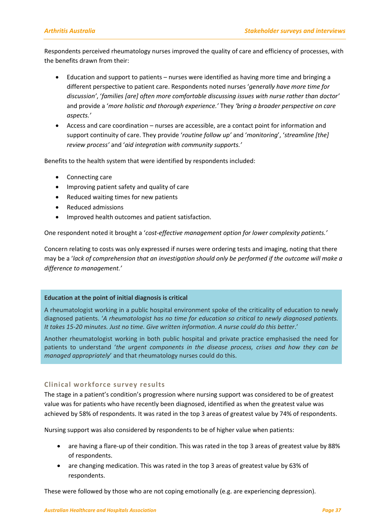Respondents perceived rheumatology nurses improved the quality of care and efficiency of processes, with the benefits drawn from their:

- Education and support to patients nurses were identified as having more time and bringing a different perspective to patient care. Respondents noted nurses '*generally have more time for discussion'*, '*families [are] often more comfortable discussing issues with nurse rather than doctor'* and provide a '*more holistic and thorough experience.'* They *'bring a broader perspective on care aspects.'*
- Access and care coordination nurses are accessible, are a contact point for information and support continuity of care. They provide '*routine follow up'* and '*monitoring*', '*streamline [the] review process'* and '*aid integration with community supports.'*

Benefits to the health system that were identified by respondents included:

- Connecting care
- Improving patient safety and quality of care
- Reduced waiting times for new patients
- Reduced admissions
- Improved health outcomes and patient satisfaction.

One respondent noted it brought a '*cost-effective management option for lower complexity patients.'*

Concern relating to costs was only expressed if nurses were ordering tests and imaging, noting that there may be a '*lack of comprehension that an investigation should only be performed if the outcome will make a difference to management.'*

#### **Education at the point of initial diagnosis is critical**

A rheumatologist working in a public hospital environment spoke of the criticality of education to newly diagnosed patients. '*A rheumatologist has no time for education so critical to newly diagnosed patients. It takes 15-20 minutes. Just no time. Give written information*. *A nurse could do this better*.'

Another rheumatologist working in both public hospital and private practice emphasised the need for patients to understand '*the urgent components in the disease process, crises and how they can be managed appropriately*' and that rheumatology nurses could do this.

#### <span id="page-40-0"></span>**Clinical workforce survey results**

The stage in a patient's condition's progression where nursing support was considered to be of greatest value was for patients who have recently been diagnosed, identified as when the greatest value was achieved by 58% of respondents. It was rated in the top 3 areas of greatest value by 74% of respondents.

Nursing support was also considered by respondents to be of higher value when patients:

- are having a flare-up of their condition. This was rated in the top 3 areas of greatest value by 88% of respondents.
- are changing medication. This was rated in the top 3 areas of greatest value by 63% of respondents.

These were followed by those who are not coping emotionally (e.g. are experiencing depression).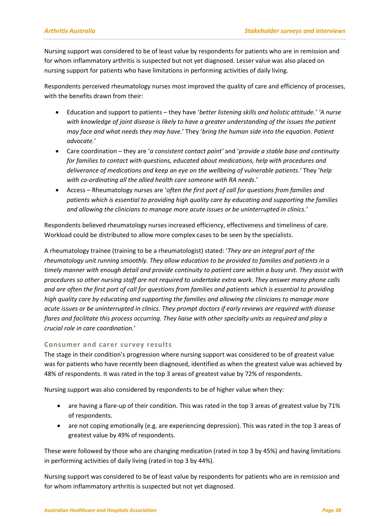Nursing support was considered to be of least value by respondents for patients who are in remission and for whom inflammatory arthritis is suspected but not yet diagnosed. Lesser value was also placed on nursing support for patients who have limitations in performing activities of daily living.

Respondents perceived rheumatology nurses most improved the quality of care and efficiency of processes, with the benefits drawn from their:

- Education and support to patients they have '*better listening skills and holistic attitude.' 'A nurse with knowledge of joint disease is likely to have a greater understanding of the issues the patient may face and what needs they may have*.' They '*bring the human side into the equation. Patient advocate.*'
- Care coordination they are '*a consistent contact point'* and '*provide a stable base and continuity for families to contact with questions, educated about medications, help with procedures and deliverance of medications and keep an eye on the wellbeing of vulnerable patients.'* They '*help with co-ordinating all the allied health care someone with RA needs*.'
- Access Rheumatology nurses are '*often the first port of call for questions from families and patients which is essential to providing high quality care by educating and supporting the families and allowing the clinicians to manage more acute issues or be uninterrupted in clinics.'*

Respondents believed rheumatology nurses increased efficiency, effectiveness and timeliness of care. Workload could be distributed to allow more complex cases to be seen by the specialists.

A rheumatology trainee (training to be a rheumatologist) stated: '*They are an integral part of the rheumatology unit running smoothly. They allow education to be provided to families and patients in a timely manner with enough detail and provide continuity to patient care within a busy unit. They assist with procedures so other nursing staff are not required to undertake extra work. They answer many phone calls and are often the first port of call for questions from families and patients which is essential to providing high quality care by educating and supporting the families and allowing the clinicians to manage more acute issues or be uninterrupted in clinics. They prompt doctors if early reviews are required with disease flares and facilitate this process occurring. They liaise with other specialty units as required and play a crucial role in care coordination.*'

#### <span id="page-41-0"></span>**Consumer and carer survey results**

The stage in their condition's progression where nursing support was considered to be of greatest value was for patients who have recently been diagnosed, identified as when the greatest value was achieved by 48% of respondents. It was rated in the top 3 areas of greatest value by 72% of respondents.

Nursing support was also considered by respondents to be of higher value when they:

- are having a flare-up of their condition. This was rated in the top 3 areas of greatest value by 71% of respondents.
- are not coping emotionally (e.g. are experiencing depression). This was rated in the top 3 areas of greatest value by 49% of respondents.

These were followed by those who are changing medication (rated in top 3 by 45%) and having limitations in performing activities of daily living (rated in top 3 by 44%).

Nursing support was considered to be of least value by respondents for patients who are in remission and for whom inflammatory arthritis is suspected but not yet diagnosed.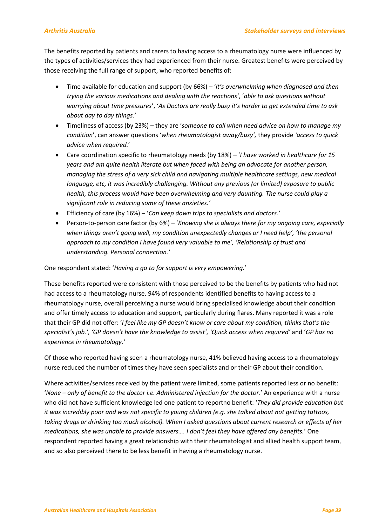The benefits reported by patients and carers to having access to a rheumatology nurse were influenced by the types of activities/services they had experienced from their nurse. Greatest benefits were perceived by those receiving the full range of support, who reported benefits of:

- Time available for education and support (by 66%) '*it's overwhelming when diagnosed and then trying the various medications and dealing with the reactions'*, '*able to ask questions without worrying about time pressures*', '*As Doctors are really busy it's harder to get extended time to ask about day to day things*.'
- Timeliness of access (by 23%) they are '*someone to call when need advice on how to manage my condition*', can answer questions '*when rheumatologist away/busy',* they provide *'access to quick advice when required.*'
- Care coordination specific to rheumatology needs (by 18%) '*I have worked in healthcare for 15 years and am quite health literate but when faced with being an advocate for another person, managing the stress of a very sick child and navigating multiple healthcare settings, new medical language, etc, it was incredibly challenging. Without any previous (or limited) exposure to public health, this process would have been overwhelming and very daunting. The nurse could play a significant role in reducing some of these anxieties.'*
- Efficiency of care (by 16%) '*Can keep down trips to specialists and doctors.'*
- Person-to-person care factor (by 6%) '*Knowing she is always there for my ongoing care, especially when things aren't going well, my condition unexpectedly changes or I need help', 'the personal approach to my condition I have found very valuable to me', 'Relationship of trust and understanding. Personal connection.'*

One respondent stated: '*Having a go to for support is very empowering.*'

These benefits reported were consistent with those perceived to be the benefits by patients who had not had access to a rheumatology nurse. 94% of respondents identified benefits to having access to a rheumatology nurse, overall perceiving a nurse would bring specialised knowledge about their condition and offer timely access to education and support, particularly during flares. Many reported it was a role that their GP did not offer: '*I feel like my GP doesn't know or care about my condition, thinks that's the specialist's job.', 'GP doesn't have the knowledge to assist', 'Quick access when required'* and '*GP has no experience in rheumatology.'*

Of those who reported having seen a rheumatology nurse, 41% believed having access to a rheumatology nurse reduced the number of times they have seen specialists and or their GP about their condition.

Where activities/services received by the patient were limited, some patients reported less or no benefit: '*None – only of benefit to the doctor i.e. Administered injection for the doctor*.' An experience with a nurse who did not have sufficient knowledge led one patient to reportno benefit: '*They did provide education but it was incredibly poor and was not specific to young children (e.g. she talked about not getting tattoos, taking drugs or drinking too much alcohol). When I asked questions about current research or effects of her medications, she was unable to provide answers…. I don't feel they have offered any benefits.*' One respondent reported having a great relationship with their rheumatologist and allied health support team, and so also perceived there to be less benefit in having a rheumatology nurse.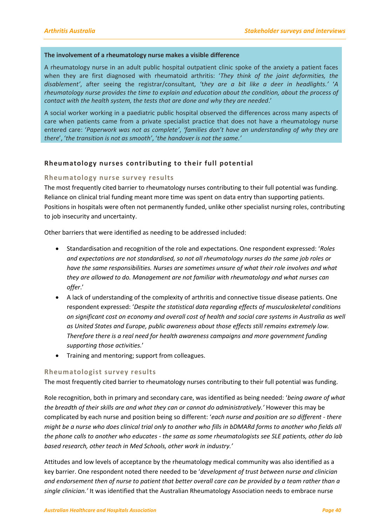#### **The involvement of a rheumatology nurse makes a visible difference**

A rheumatology nurse in an adult public hospital outpatient clinic spoke of the anxiety a patient faces when they are first diagnosed with rheumatoid arthritis: '*They think of the joint deformities, the disablement'*, after seeing the registrar/consultant, 't*hey are a bit like a deer in headlights.'* '*A rheumatology nurse provides the time to explain and education about the condition, about the process of contact with the health system, the tests that are done and why they are needed*.'

A social worker working in a paediatric public hospital observed the differences across many aspects of care when patients came from a private specialist practice that does not have a rheumatology nurse entered care: '*Paperwork was not as complete'*, *'families don't have an understanding of why they are there*', '*the transition is not as smooth'*, '*the handover is not the same.'*

#### <span id="page-43-0"></span>**Rheumatology nurses contributing to their full potential**

#### <span id="page-43-1"></span>**Rheumatology nurse survey results**

The most frequently cited barrier to rheumatology nurses contributing to their full potential was funding. Reliance on clinical trial funding meant more time was spent on data entry than supporting patients. Positions in hospitals were often not permanently funded, unlike other specialist nursing roles, contributing to job insecurity and uncertainty.

Other barriers that were identified as needing to be addressed included:

- Standardisation and recognition of the role and expectations. One respondent expressed: '*Roles and expectations are not standardised, so not all rheumatology nurses do the same job roles or have the same responsibilities. Nurses are sometimes unsure of what their role involves and what they are allowed to do. Management are not familiar with rheumatology and what nurses can offer*.'
- A lack of understanding of the complexity of arthritis and connective tissue disease patients. One respondent expressed: '*Despite the statistical data regarding effects of musculoskeletal conditions on significant cost on economy and overall cost of health and social care systems in Australia as well as United States and Europe, public awareness about those effects still remains extremely low. Therefore there is a real need for health awareness campaigns and more government funding supporting those activities.*'
- Training and mentoring; support from colleagues.

#### <span id="page-43-2"></span>**Rheumatologist survey results**

The most frequently cited barrier to rheumatology nurses contributing to their full potential was funding.

Role recognition, both in primary and secondary care, was identified as being needed: '*being aware of what the breadth of their skills are and what they can or cannot do administratively.'* However this may be complicated by each nurse and position being so different: '*each nurse and position are so different - there might be a nurse who does clinical trial only to another who fills in bDMARd forms to another who fields all the phone calls to another who educates - the same as some rheumatologists see SLE patients, other do lab based research, other teach in Med Schools, other work in industry.'*

Attitudes and low levels of acceptance by the rheumatology medical community was also identified as a key barrier. One respondent noted there needed to be '*development of trust between nurse and clinician and endorsement then of nurse to patient that better overall care can be provided by a team rather than a single clinician.'* It was identified that the Australian Rheumatology Association needs to embrace nurse